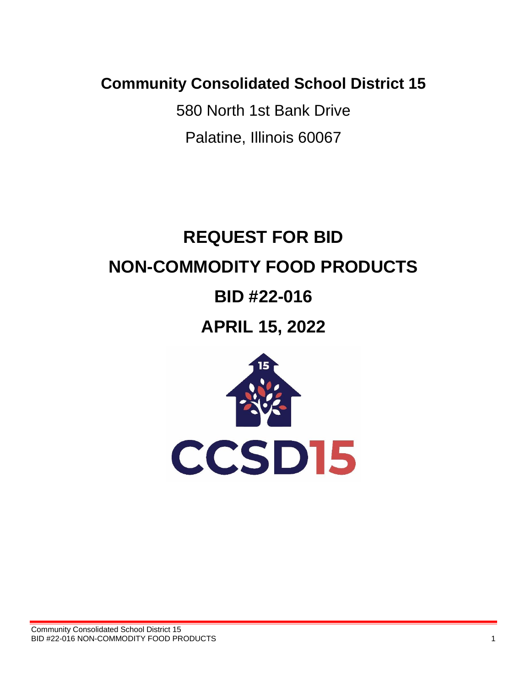**Community Consolidated School District 15**

580 North 1st Bank Drive Palatine, Illinois 60067

# **REQUEST FOR BID NON-COMMODITY FOOD PRODUCTS**

# **BID #22-016**

**APRIL 15, 2022**

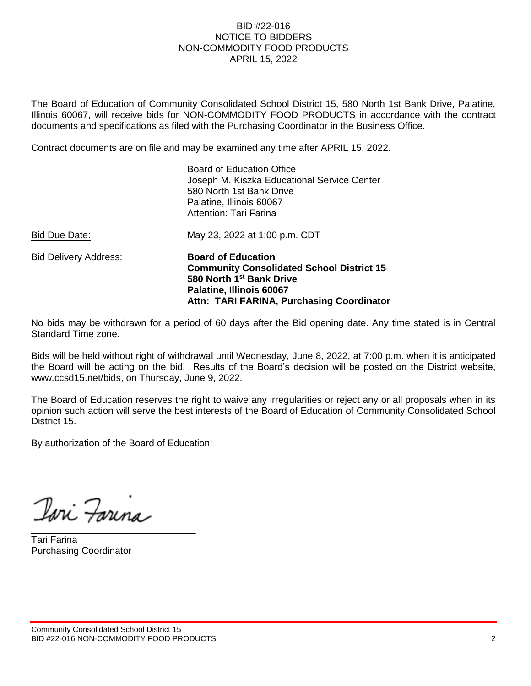#### BID #22-016 NOTICE TO BIDDERS NON-COMMODITY FOOD PRODUCTS APRIL 15, 2022

The Board of Education of Community Consolidated School District 15, 580 North 1st Bank Drive, Palatine, Illinois 60067, will receive bids for NON-COMMODITY FOOD PRODUCTS in accordance with the contract documents and specifications as filed with the Purchasing Coordinator in the Business Office.

Contract documents are on file and may be examined any time after APRIL 15, 2022.

| <b>Bid Delivery Address:</b> | <b>Board of Education</b><br><b>Community Consolidated School District 15</b><br>580 North 1 <sup>st</sup> Bank Drive<br>Palatine, Illinois 60067<br>Attn: TARI FARINA, Purchasing Coordinator |
|------------------------------|------------------------------------------------------------------------------------------------------------------------------------------------------------------------------------------------|
| Bid Due Date:                | Attention: Tari Farina<br>May 23, 2022 at 1:00 p.m. CDT                                                                                                                                        |
|                              | <b>Board of Education Office</b><br>Joseph M. Kiszka Educational Service Center<br>580 North 1st Bank Drive<br>Palatine, Illinois 60067                                                        |

No bids may be withdrawn for a period of 60 days after the Bid opening date. Any time stated is in Central Standard Time zone.

Bids will be held without right of withdrawal until Wednesday, June 8, 2022, at 7:00 p.m. when it is anticipated the Board will be acting on the bid. Results of the Board's decision will be posted on the District website, www.ccsd15.net/bids, on Thursday, June 9, 2022.

The Board of Education reserves the right to waive any irregularities or reject any or all proposals when in its opinion such action will serve the best interests of the Board of Education of Community Consolidated School District 15.

By authorization of the Board of Education:

Iari Farina \_\_\_\_\_\_\_\_\_\_\_\_\_\_\_\_\_\_\_\_\_\_\_\_\_\_\_\_\_\_\_

Tari Farina Purchasing Coordinator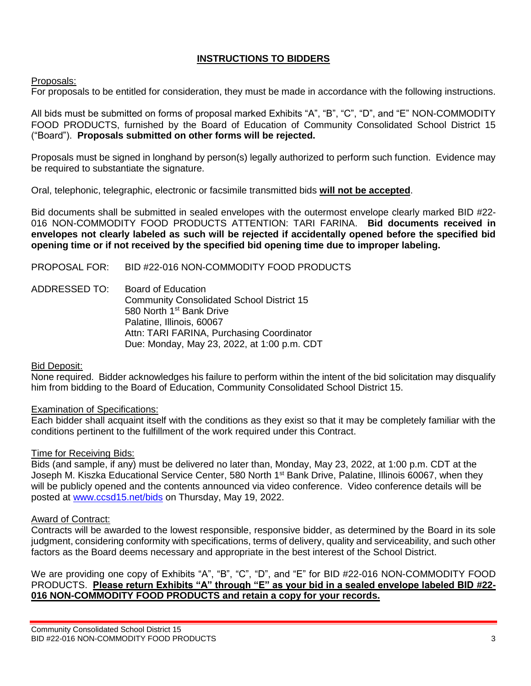### **INSTRUCTIONS TO BIDDERS**

#### Proposals:

For proposals to be entitled for consideration, they must be made in accordance with the following instructions.

All bids must be submitted on forms of proposal marked Exhibits "A", "B", "C", "D", and "E" NON-COMMODITY FOOD PRODUCTS, furnished by the Board of Education of Community Consolidated School District 15 ("Board"). **Proposals submitted on other forms will be rejected.**

Proposals must be signed in longhand by person(s) legally authorized to perform such function. Evidence may be required to substantiate the signature.

Oral, telephonic, telegraphic, electronic or facsimile transmitted bids **will not be accepted**.

Bid documents shall be submitted in sealed envelopes with the outermost envelope clearly marked BID #22- 016 NON-COMMODITY FOOD PRODUCTS ATTENTION: TARI FARINA. **Bid documents received in envelopes not clearly labeled as such will be rejected if accidentally opened before the specified bid opening time or if not received by the specified bid opening time due to improper labeling.**

#### PROPOSAL FOR: BID #22-016 NON-COMMODITY FOOD PRODUCTS

ADDRESSED TO: Board of Education Community Consolidated School District 15 580 North 1<sup>st</sup> Bank Drive Palatine, Illinois, 60067 Attn: TARI FARINA, Purchasing Coordinator Due: Monday, May 23, 2022, at 1:00 p.m. CDT

#### Bid Deposit:

None required. Bidder acknowledges his failure to perform within the intent of the bid solicitation may disqualify him from bidding to the Board of Education, Community Consolidated School District 15.

#### Examination of Specifications:

Each bidder shall acquaint itself with the conditions as they exist so that it may be completely familiar with the conditions pertinent to the fulfillment of the work required under this Contract.

#### Time for Receiving Bids:

Bids (and sample, if any) must be delivered no later than, Monday, May 23, 2022, at 1:00 p.m. CDT at the Joseph M. Kiszka Educational Service Center, 580 North 1<sup>st</sup> Bank Drive, Palatine, Illinois 60067, when they will be publicly opened and the contents announced via video conference. Video conference details will be posted at [www.ccsd15.net/bids](http://www.ccsd15.net/bids%20on%20Thursday,%20May%2019) on Thursday, May 19, 2022.

#### Award of Contract:

Contracts will be awarded to the lowest responsible, responsive bidder, as determined by the Board in its sole judgment, considering conformity with specifications, terms of delivery, quality and serviceability, and such other factors as the Board deems necessary and appropriate in the best interest of the School District.

We are providing one copy of Exhibits "A", "B", "C", "D", and "E" for BID #22-016 NON-COMMODITY FOOD PRODUCTS. **Please return Exhibits "A" through "E" as your bid in a sealed envelope labeled BID #22- 016 NON-COMMODITY FOOD PRODUCTS and retain a copy for your records.**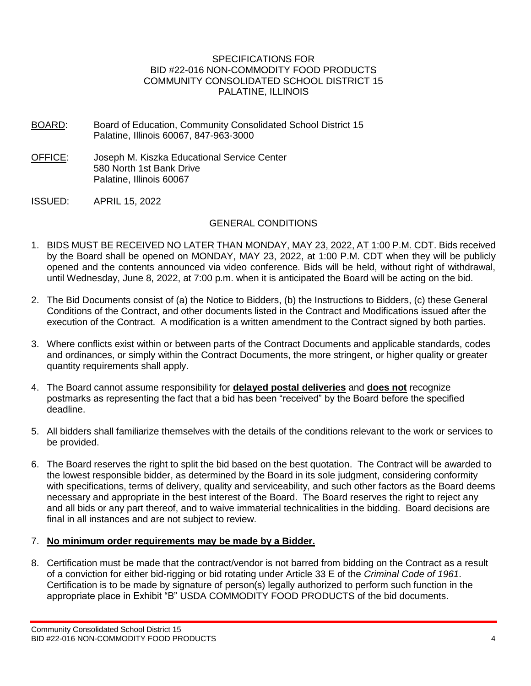#### SPECIFICATIONS FOR BID #22-016 NON-COMMODITY FOOD PRODUCTS COMMUNITY CONSOLIDATED SCHOOL DISTRICT 15 PALATINE, ILLINOIS

- BOARD: Board of Education, Community Consolidated School District 15 Palatine, Illinois 60067, 847-963-3000
- OFFICE: Joseph M. Kiszka Educational Service Center 580 North 1st Bank Drive Palatine, Illinois 60067
- ISSUED: APRIL 15, 2022

#### GENERAL CONDITIONS

- 1. BIDS MUST BE RECEIVED NO LATER THAN MONDAY, MAY 23, 2022, AT 1:00 P.M. CDT. Bids received by the Board shall be opened on MONDAY, MAY 23, 2022, at 1:00 P.M. CDT when they will be publicly opened and the contents announced via video conference. Bids will be held, without right of withdrawal, until Wednesday, June 8, 2022, at 7:00 p.m. when it is anticipated the Board will be acting on the bid.
- 2. The Bid Documents consist of (a) the Notice to Bidders, (b) the Instructions to Bidders, (c) these General Conditions of the Contract, and other documents listed in the Contract and Modifications issued after the execution of the Contract. A modification is a written amendment to the Contract signed by both parties.
- 3. Where conflicts exist within or between parts of the Contract Documents and applicable standards, codes and ordinances, or simply within the Contract Documents, the more stringent, or higher quality or greater quantity requirements shall apply.
- 4. The Board cannot assume responsibility for **delayed postal deliveries** and **does not** recognize postmarks as representing the fact that a bid has been "received" by the Board before the specified deadline.
- 5. All bidders shall familiarize themselves with the details of the conditions relevant to the work or services to be provided.
- 6. The Board reserves the right to split the bid based on the best quotation. The Contract will be awarded to the lowest responsible bidder, as determined by the Board in its sole judgment, considering conformity with specifications, terms of delivery, quality and serviceability, and such other factors as the Board deems necessary and appropriate in the best interest of the Board. The Board reserves the right to reject any and all bids or any part thereof, and to waive immaterial technicalities in the bidding. Board decisions are final in all instances and are not subject to review.

#### 7. **No minimum order requirements may be made by a Bidder.**

8. Certification must be made that the contract/vendor is not barred from bidding on the Contract as a result of a conviction for either bid-rigging or bid rotating under Article 33 E of the *Criminal Code of 1961*. Certification is to be made by signature of person(s) legally authorized to perform such function in the appropriate place in Exhibit "B" USDA COMMODITY FOOD PRODUCTS of the bid documents.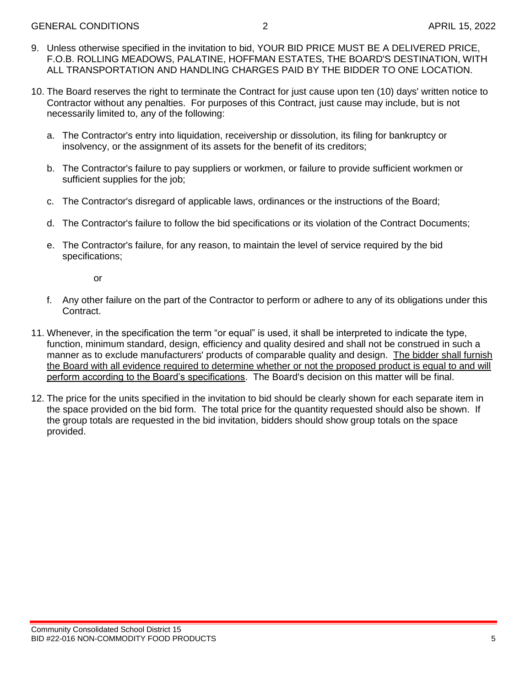- 9. Unless otherwise specified in the invitation to bid, YOUR BID PRICE MUST BE A DELIVERED PRICE, F.O.B. ROLLING MEADOWS, PALATINE, HOFFMAN ESTATES, THE BOARD'S DESTINATION, WITH ALL TRANSPORTATION AND HANDLING CHARGES PAID BY THE BIDDER TO ONE LOCATION.
- 10. The Board reserves the right to terminate the Contract for just cause upon ten (10) days' written notice to Contractor without any penalties. For purposes of this Contract, just cause may include, but is not necessarily limited to, any of the following:
	- a. The Contractor's entry into liquidation, receivership or dissolution, its filing for bankruptcy or insolvency, or the assignment of its assets for the benefit of its creditors;
	- b. The Contractor's failure to pay suppliers or workmen, or failure to provide sufficient workmen or sufficient supplies for the job;
	- c. The Contractor's disregard of applicable laws, ordinances or the instructions of the Board;
	- d. The Contractor's failure to follow the bid specifications or its violation of the Contract Documents;
	- e. The Contractor's failure, for any reason, to maintain the level of service required by the bid specifications;

or

- f. Any other failure on the part of the Contractor to perform or adhere to any of its obligations under this Contract.
- 11. Whenever, in the specification the term "or equal" is used, it shall be interpreted to indicate the type, function, minimum standard, design, efficiency and quality desired and shall not be construed in such a manner as to exclude manufacturers' products of comparable quality and design. The bidder shall furnish the Board with all evidence required to determine whether or not the proposed product is equal to and will perform according to the Board's specifications. The Board's decision on this matter will be final.
- 12. The price for the units specified in the invitation to bid should be clearly shown for each separate item in the space provided on the bid form. The total price for the quantity requested should also be shown. If the group totals are requested in the bid invitation, bidders should show group totals on the space provided.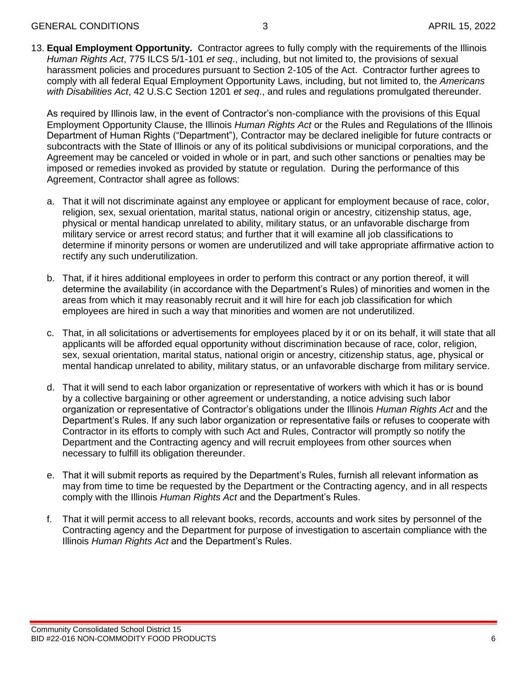13. **Equal Employment Opportunity.** Contractor agrees to fully comply with the requirements of the Illinois *Human Rights Act*, 775 ILCS 5/1-101 *et seq*., including, but not limited to, the provisions of sexual harassment policies and procedures pursuant to Section 2-105 of the Act. Contractor further agrees to comply with all federal Equal Employment Opportunity Laws, including, but not limited to, the *Americans with Disabilities Act*, 42 U.S.C Section 1201 *et seq*., and rules and regulations promulgated thereunder.

As required by Illinois law, in the event of Contractor's non-compliance with the provisions of this Equal Employment Opportunity Clause, the Illinois *Human Rights Act* or the Rules and Regulations of the Illinois Department of Human Rights ("Department"), Contractor may be declared ineligible for future contracts or subcontracts with the State of Illinois or any of its political subdivisions or municipal corporations, and the Agreement may be canceled or voided in whole or in part, and such other sanctions or penalties may be imposed or remedies invoked as provided by statute or regulation. During the performance of this Agreement, Contractor shall agree as follows:

- a. That it will not discriminate against any employee or applicant for employment because of race, color, religion, sex, sexual orientation, marital status, national origin or ancestry, citizenship status, age, physical or mental handicap unrelated to ability, military status, or an unfavorable discharge from military service or arrest record status; and further that it will examine all job classifications to determine if minority persons or women are underutilized and will take appropriate affirmative action to rectify any such underutilization.
- b. That, if it hires additional employees in order to perform this contract or any portion thereof, it will determine the availability (in accordance with the Department's Rules) of minorities and women in the areas from which it may reasonably recruit and it will hire for each job classification for which employees are hired in such a way that minorities and women are not underutilized.
- c. That, in all solicitations or advertisements for employees placed by it or on its behalf, it will state that all applicants will be afforded equal opportunity without discrimination because of race, color, religion, sex, sexual orientation, marital status, national origin or ancestry, citizenship status, age, physical or mental handicap unrelated to ability, military status, or an unfavorable discharge from military service.
- d. That it will send to each labor organization or representative of workers with which it has or is bound by a collective bargaining or other agreement or understanding, a notice advising such labor organization or representative of Contractor's obligations under the Illinois *Human Rights Act* and the Department's Rules. If any such labor organization or representative fails or refuses to cooperate with Contractor in its efforts to comply with such Act and Rules, Contractor will promptly so notify the Department and the Contracting agency and will recruit employees from other sources when necessary to fulfill its obligation thereunder.
- e. That it will submit reports as required by the Department's Rules, furnish all relevant information as may from time to time be requested by the Department or the Contracting agency, and in all respects comply with the Illinois *Human Rights Act* and the Department's Rules.
- f. That it will permit access to all relevant books, records, accounts and work sites by personnel of the Contracting agency and the Department for purpose of investigation to ascertain compliance with the Illinois *Human Rights Act* and the Department's Rules.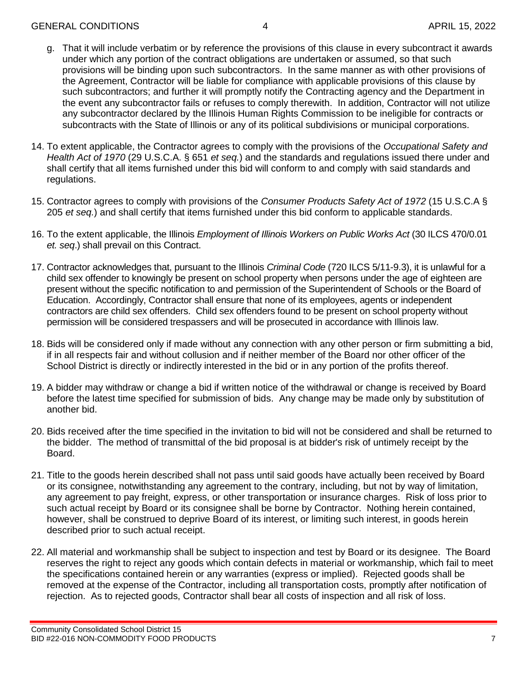- g. That it will include verbatim or by reference the provisions of this clause in every subcontract it awards under which any portion of the contract obligations are undertaken or assumed, so that such provisions will be binding upon such subcontractors. In the same manner as with other provisions of the Agreement, Contractor will be liable for compliance with applicable provisions of this clause by such subcontractors; and further it will promptly notify the Contracting agency and the Department in the event any subcontractor fails or refuses to comply therewith. In addition, Contractor will not utilize any subcontractor declared by the Illinois Human Rights Commission to be ineligible for contracts or subcontracts with the State of Illinois or any of its political subdivisions or municipal corporations.
- 14. To extent applicable, the Contractor agrees to comply with the provisions of the *Occupational Safety and Health Act of 1970* (29 U.S.C.A. § 651 *et seq.*) and the standards and regulations issued there under and shall certify that all items furnished under this bid will conform to and comply with said standards and regulations.
- 15. Contractor agrees to comply with provisions of the *Consumer Products Safety Act of 1972* (15 U.S.C.A § 205 *et seq.*) and shall certify that items furnished under this bid conform to applicable standards.
- 16. To the extent applicable, the Illinois *Employment of Illinois Workers on Public Works Act* (30 ILCS 470/0.01 *et. seq*.) shall prevail on this Contract.
- 17. Contractor acknowledges that, pursuant to the Illinois *Criminal Code* (720 ILCS 5/11-9.3), it is unlawful for a child sex offender to knowingly be present on school property when persons under the age of eighteen are present without the specific notification to and permission of the Superintendent of Schools or the Board of Education. Accordingly, Contractor shall ensure that none of its employees, agents or independent contractors are child sex offenders. Child sex offenders found to be present on school property without permission will be considered trespassers and will be prosecuted in accordance with Illinois law.
- 18. Bids will be considered only if made without any connection with any other person or firm submitting a bid, if in all respects fair and without collusion and if neither member of the Board nor other officer of the School District is directly or indirectly interested in the bid or in any portion of the profits thereof.
- 19. A bidder may withdraw or change a bid if written notice of the withdrawal or change is received by Board before the latest time specified for submission of bids. Any change may be made only by substitution of another bid.
- 20. Bids received after the time specified in the invitation to bid will not be considered and shall be returned to the bidder. The method of transmittal of the bid proposal is at bidder's risk of untimely receipt by the Board.
- 21. Title to the goods herein described shall not pass until said goods have actually been received by Board or its consignee, notwithstanding any agreement to the contrary, including, but not by way of limitation, any agreement to pay freight, express, or other transportation or insurance charges. Risk of loss prior to such actual receipt by Board or its consignee shall be borne by Contractor. Nothing herein contained, however, shall be construed to deprive Board of its interest, or limiting such interest, in goods herein described prior to such actual receipt.
- 22. All material and workmanship shall be subject to inspection and test by Board or its designee. The Board reserves the right to reject any goods which contain defects in material or workmanship, which fail to meet the specifications contained herein or any warranties (express or implied). Rejected goods shall be removed at the expense of the Contractor, including all transportation costs, promptly after notification of rejection. As to rejected goods, Contractor shall bear all costs of inspection and all risk of loss.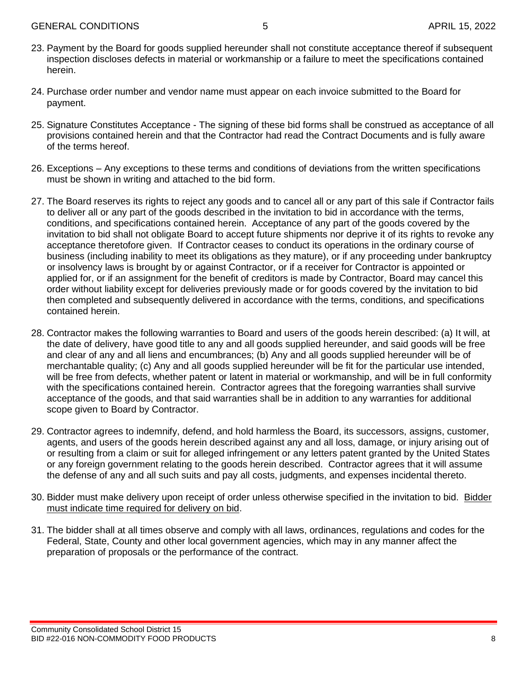- 23. Payment by the Board for goods supplied hereunder shall not constitute acceptance thereof if subsequent inspection discloses defects in material or workmanship or a failure to meet the specifications contained herein.
- 24. Purchase order number and vendor name must appear on each invoice submitted to the Board for payment.
- 25. Signature Constitutes Acceptance The signing of these bid forms shall be construed as acceptance of all provisions contained herein and that the Contractor had read the Contract Documents and is fully aware of the terms hereof.
- 26. Exceptions Any exceptions to these terms and conditions of deviations from the written specifications must be shown in writing and attached to the bid form.
- 27. The Board reserves its rights to reject any goods and to cancel all or any part of this sale if Contractor fails to deliver all or any part of the goods described in the invitation to bid in accordance with the terms, conditions, and specifications contained herein. Acceptance of any part of the goods covered by the invitation to bid shall not obligate Board to accept future shipments nor deprive it of its rights to revoke any acceptance theretofore given. If Contractor ceases to conduct its operations in the ordinary course of business (including inability to meet its obligations as they mature), or if any proceeding under bankruptcy or insolvency laws is brought by or against Contractor, or if a receiver for Contractor is appointed or applied for, or if an assignment for the benefit of creditors is made by Contractor, Board may cancel this order without liability except for deliveries previously made or for goods covered by the invitation to bid then completed and subsequently delivered in accordance with the terms, conditions, and specifications contained herein.
- 28. Contractor makes the following warranties to Board and users of the goods herein described: (a) It will, at the date of delivery, have good title to any and all goods supplied hereunder, and said goods will be free and clear of any and all liens and encumbrances; (b) Any and all goods supplied hereunder will be of merchantable quality; (c) Any and all goods supplied hereunder will be fit for the particular use intended, will be free from defects, whether patent or latent in material or workmanship, and will be in full conformity with the specifications contained herein. Contractor agrees that the foregoing warranties shall survive acceptance of the goods, and that said warranties shall be in addition to any warranties for additional scope given to Board by Contractor.
- 29. Contractor agrees to indemnify, defend, and hold harmless the Board, its successors, assigns, customer, agents, and users of the goods herein described against any and all loss, damage, or injury arising out of or resulting from a claim or suit for alleged infringement or any letters patent granted by the United States or any foreign government relating to the goods herein described. Contractor agrees that it will assume the defense of any and all such suits and pay all costs, judgments, and expenses incidental thereto.
- 30. Bidder must make delivery upon receipt of order unless otherwise specified in the invitation to bid. Bidder must indicate time required for delivery on bid.
- 31. The bidder shall at all times observe and comply with all laws, ordinances, regulations and codes for the Federal, State, County and other local government agencies, which may in any manner affect the preparation of proposals or the performance of the contract.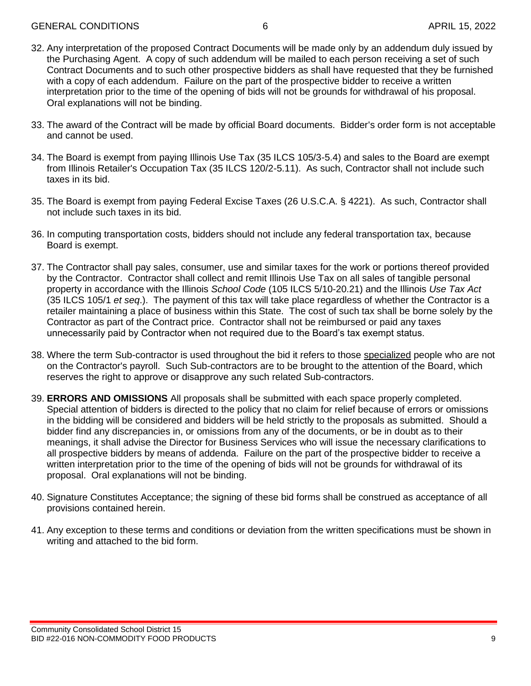- 32. Any interpretation of the proposed Contract Documents will be made only by an addendum duly issued by the Purchasing Agent. A copy of such addendum will be mailed to each person receiving a set of such Contract Documents and to such other prospective bidders as shall have requested that they be furnished with a copy of each addendum. Failure on the part of the prospective bidder to receive a written interpretation prior to the time of the opening of bids will not be grounds for withdrawal of his proposal. Oral explanations will not be binding.
- 33. The award of the Contract will be made by official Board documents. Bidder's order form is not acceptable and cannot be used.
- 34. The Board is exempt from paying Illinois Use Tax (35 ILCS 105/3-5.4) and sales to the Board are exempt from Illinois Retailer's Occupation Tax (35 ILCS 120/2-5.11). As such, Contractor shall not include such taxes in its bid.
- 35. The Board is exempt from paying Federal Excise Taxes (26 U.S.C.A. § 4221). As such, Contractor shall not include such taxes in its bid.
- 36. In computing transportation costs, bidders should not include any federal transportation tax, because Board is exempt.
- 37. The Contractor shall pay sales, consumer, use and similar taxes for the work or portions thereof provided by the Contractor. Contractor shall collect and remit Illinois Use Tax on all sales of tangible personal property in accordance with the Illinois *School Code* (105 ILCS 5/10-20.21) and the Illinois *Use Tax Act* (35 ILCS 105/1 *et seq*.). The payment of this tax will take place regardless of whether the Contractor is a retailer maintaining a place of business within this State. The cost of such tax shall be borne solely by the Contractor as part of the Contract price. Contractor shall not be reimbursed or paid any taxes unnecessarily paid by Contractor when not required due to the Board's tax exempt status.
- 38. Where the term Sub-contractor is used throughout the bid it refers to those specialized people who are not on the Contractor's payroll. Such Sub-contractors are to be brought to the attention of the Board, which reserves the right to approve or disapprove any such related Sub-contractors.
- 39. **ERRORS AND OMISSIONS** All proposals shall be submitted with each space properly completed. Special attention of bidders is directed to the policy that no claim for relief because of errors or omissions in the bidding will be considered and bidders will be held strictly to the proposals as submitted. Should a bidder find any discrepancies in, or omissions from any of the documents, or be in doubt as to their meanings, it shall advise the Director for Business Services who will issue the necessary clarifications to all prospective bidders by means of addenda. Failure on the part of the prospective bidder to receive a written interpretation prior to the time of the opening of bids will not be grounds for withdrawal of its proposal. Oral explanations will not be binding.
- 40. Signature Constitutes Acceptance; the signing of these bid forms shall be construed as acceptance of all provisions contained herein.
- 41. Any exception to these terms and conditions or deviation from the written specifications must be shown in writing and attached to the bid form.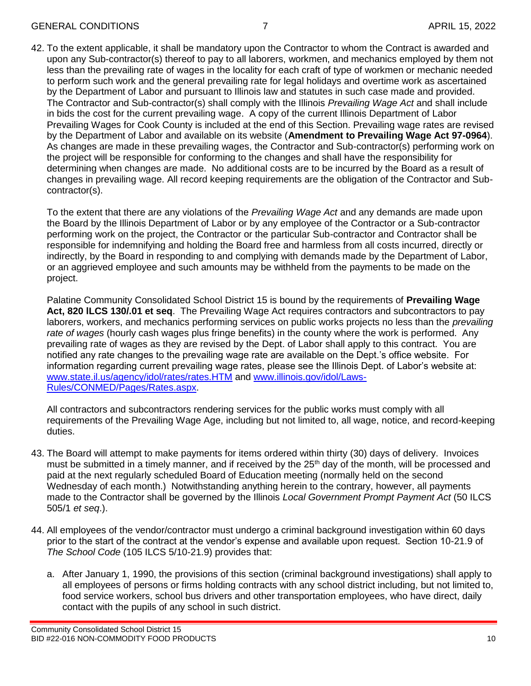42. To the extent applicable, it shall be mandatory upon the Contractor to whom the Contract is awarded and upon any Sub-contractor(s) thereof to pay to all laborers, workmen, and mechanics employed by them not less than the prevailing rate of wages in the locality for each craft of type of workmen or mechanic needed to perform such work and the general prevailing rate for legal holidays and overtime work as ascertained by the Department of Labor and pursuant to Illinois law and statutes in such case made and provided. The Contractor and Sub-contractor(s) shall comply with the Illinois *Prevailing Wage Act* and shall include in bids the cost for the current prevailing wage. A copy of the current Illinois Department of Labor Prevailing Wages for Cook County is included at the end of this Section. Prevailing wage rates are revised by the Department of Labor and available on its website (**Amendment to Prevailing Wage Act 97-0964**). As changes are made in these prevailing wages, the Contractor and Sub-contractor(s) performing work on the project will be responsible for conforming to the changes and shall have the responsibility for determining when changes are made. No additional costs are to be incurred by the Board as a result of changes in prevailing wage. All record keeping requirements are the obligation of the Contractor and Subcontractor(s).

To the extent that there are any violations of the *Prevailing Wage Act* and any demands are made upon the Board by the Illinois Department of Labor or by any employee of the Contractor or a Sub-contractor performing work on the project, the Contractor or the particular Sub-contractor and Contractor shall be responsible for indemnifying and holding the Board free and harmless from all costs incurred, directly or indirectly, by the Board in responding to and complying with demands made by the Department of Labor, or an aggrieved employee and such amounts may be withheld from the payments to be made on the project.

Palatine Community Consolidated School District 15 is bound by the requirements of **Prevailing Wage Act, 820 lLCS 130/.01 et seq**. The Prevailing Wage Act requires contractors and subcontractors to pay laborers, workers, and mechanics performing services on public works projects no less than the *prevailing rate of wages* (hourly cash wages plus fringe benefits) in the county where the work is performed. Any prevailing rate of wages as they are revised by the Dept. of Labor shall apply to this contract. You are notified any rate changes to the prevailing wage rate are available on the Dept.'s office website. For information regarding current prevailing wage rates, please see the Illinois Dept. of Labor's website at: [www.state.il.us/agency/idol/rates/rates.HTM](http://www.state.il.us/agency/idol/rates/rates.HTM) and [www.illinois.gov/idol/Laws-](http://www.illinois.gov/idol/Laws-Rules/CONMED/Pages/Rates.aspx)[Rules/CONMED/Pages/Rates.aspx.](http://www.illinois.gov/idol/Laws-Rules/CONMED/Pages/Rates.aspx)

All contractors and subcontractors rendering services for the public works must comply with all requirements of the Prevailing Wage Age, including but not limited to, all wage, notice, and record-keeping duties.

- 43. The Board will attempt to make payments for items ordered within thirty (30) days of delivery. Invoices must be submitted in a timely manner, and if received by the  $25<sup>th</sup>$  day of the month, will be processed and paid at the next regularly scheduled Board of Education meeting (normally held on the second Wednesday of each month.) Notwithstanding anything herein to the contrary, however, all payments made to the Contractor shall be governed by the Illinois *Local Government Prompt Payment Act* (50 ILCS 505/1 *et seq*.).
- 44. All employees of the vendor/contractor must undergo a criminal background investigation within 60 days prior to the start of the contract at the vendor's expense and available upon request. Section 10-21.9 of *The School Code* (105 ILCS 5/10-21.9) provides that:
	- a. After January 1, 1990, the provisions of this section (criminal background investigations) shall apply to all employees of persons or firms holding contracts with any school district including, but not limited to, food service workers, school bus drivers and other transportation employees, who have direct, daily contact with the pupils of any school in such district.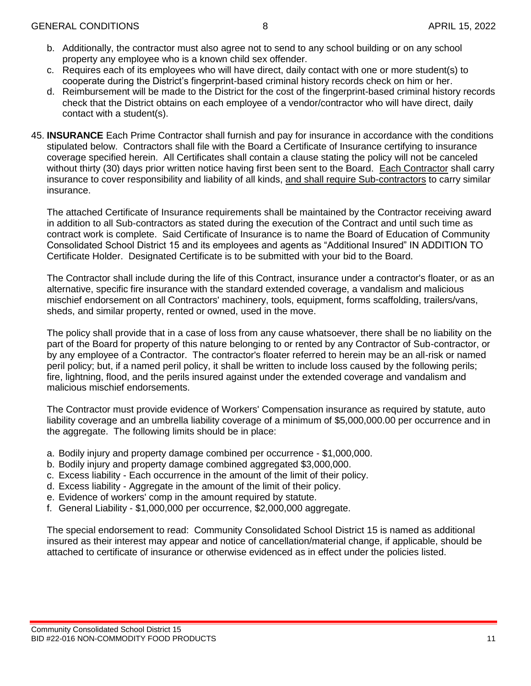- b. Additionally, the contractor must also agree not to send to any school building or on any school property any employee who is a known child sex offender.
- c. Requires each of its employees who will have direct, daily contact with one or more student(s) to cooperate during the District's fingerprint-based criminal history records check on him or her.
- d. Reimbursement will be made to the District for the cost of the fingerprint-based criminal history records check that the District obtains on each employee of a vendor/contractor who will have direct, daily contact with a student(s).
- 45. **INSURANCE** Each Prime Contractor shall furnish and pay for insurance in accordance with the conditions stipulated below. Contractors shall file with the Board a Certificate of Insurance certifying to insurance coverage specified herein. All Certificates shall contain a clause stating the policy will not be canceled without thirty (30) days prior written notice having first been sent to the Board. Each Contractor shall carry insurance to cover responsibility and liability of all kinds, and shall require Sub-contractors to carry similar insurance.

The attached Certificate of Insurance requirements shall be maintained by the Contractor receiving award in addition to all Sub-contractors as stated during the execution of the Contract and until such time as contract work is complete. Said Certificate of Insurance is to name the Board of Education of Community Consolidated School District 15 and its employees and agents as "Additional Insured" IN ADDITION TO Certificate Holder. Designated Certificate is to be submitted with your bid to the Board.

The Contractor shall include during the life of this Contract, insurance under a contractor's floater, or as an alternative, specific fire insurance with the standard extended coverage, a vandalism and malicious mischief endorsement on all Contractors' machinery, tools, equipment, forms scaffolding, trailers/vans, sheds, and similar property, rented or owned, used in the move.

The policy shall provide that in a case of loss from any cause whatsoever, there shall be no liability on the part of the Board for property of this nature belonging to or rented by any Contractor of Sub-contractor, or by any employee of a Contractor. The contractor's floater referred to herein may be an all-risk or named peril policy; but, if a named peril policy, it shall be written to include loss caused by the following perils; fire, lightning, flood, and the perils insured against under the extended coverage and vandalism and malicious mischief endorsements.

The Contractor must provide evidence of Workers' Compensation insurance as required by statute, auto liability coverage and an umbrella liability coverage of a minimum of \$5,000,000.00 per occurrence and in the aggregate. The following limits should be in place:

- a. Bodily injury and property damage combined per occurrence \$1,000,000.
- b. Bodily injury and property damage combined aggregated \$3,000,000.
- c. Excess liability Each occurrence in the amount of the limit of their policy.
- d. Excess liability Aggregate in the amount of the limit of their policy.
- e. Evidence of workers' comp in the amount required by statute.
- f. General Liability \$1,000,000 per occurrence, \$2,000,000 aggregate.

The special endorsement to read: Community Consolidated School District 15 is named as additional insured as their interest may appear and notice of cancellation/material change, if applicable, should be attached to certificate of insurance or otherwise evidenced as in effect under the policies listed.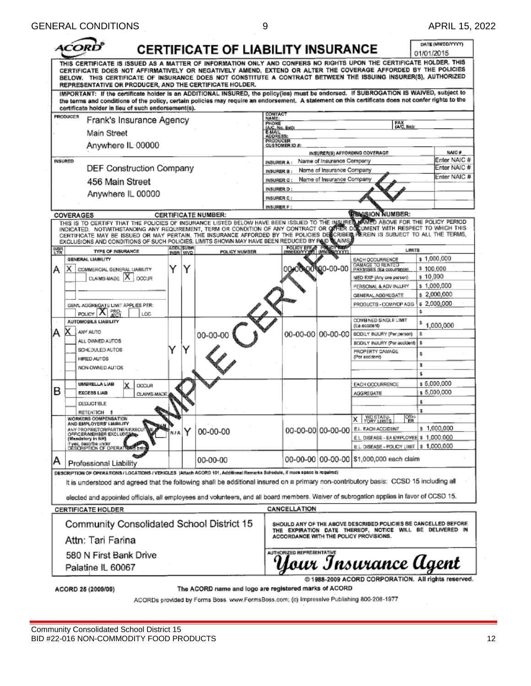|                                                                                                                                                                                                                                                                                                                                                                                                                                                                                                  |                               | <b>CERTIFICATE OF LIABILITY INSURANCE</b>             |                                        |                   |                                                        |                                                                                                                            | 01/01/2015 | DATE (MM/DD/YYYY)     |
|--------------------------------------------------------------------------------------------------------------------------------------------------------------------------------------------------------------------------------------------------------------------------------------------------------------------------------------------------------------------------------------------------------------------------------------------------------------------------------------------------|-------------------------------|-------------------------------------------------------|----------------------------------------|-------------------|--------------------------------------------------------|----------------------------------------------------------------------------------------------------------------------------|------------|-----------------------|
| THIS CERTIFICATE IS ISSUED AS A MATTER OF INFORMATION ONLY AND CONFERS NO RIGHTS UPON THE CERTIFICATE HOLDER. THIS<br>CERTIFICATE DOES NOT AFFIRMATIVELY OR NEGATIVELY AMEND, EXTEND OR ALTER THE COVERAGE AFFORDED BY THE POLICIES<br>BELOW. THIS CERTIFICATE OF INSURANCE DOES NOT CONSTITUTE A CONTRACT BETWEEN THE ISSUING INSURER(S), AUTHORIZED<br>REPRESENTATIVE OR PRODUCER, AND THE CERTIFICATE HOLDER.                                                                                 |                               |                                                       |                                        |                   |                                                        |                                                                                                                            |            |                       |
| IMPORTANT: If the certificate holder is an ADDITIONAL INSURED, the policy(ies) must be endorsed. If SUBROGATION IS WAIVED, subject to<br>the terms and conditions of the policy, certain policies may require an endorsement. A statement on this certificate does not confer rights to the<br>certificate holder in lieu of such endorsement(s).                                                                                                                                                |                               |                                                       |                                        |                   |                                                        |                                                                                                                            |            |                       |
| PRODUCER                                                                                                                                                                                                                                                                                                                                                                                                                                                                                         |                               |                                                       | CONTACT<br>NAME:                       |                   |                                                        |                                                                                                                            |            |                       |
| Frank's Insurance Agency                                                                                                                                                                                                                                                                                                                                                                                                                                                                         |                               |                                                       | PHONE                                  |                   |                                                        | $V_{\text{ACC, Ne}}$                                                                                                       |            |                       |
| Main Street                                                                                                                                                                                                                                                                                                                                                                                                                                                                                      |                               |                                                       | <u>(AKC, No.</u><br>E-MAIL<br>ADDRESS: |                   |                                                        |                                                                                                                            |            |                       |
| Anywhere IL 00000                                                                                                                                                                                                                                                                                                                                                                                                                                                                                |                               |                                                       | PRODUCER<br><b>CUSTOMER ID #:</b>      |                   |                                                        |                                                                                                                            |            |                       |
|                                                                                                                                                                                                                                                                                                                                                                                                                                                                                                  |                               |                                                       |                                        |                   |                                                        | INSURER(S) AFFORDING COVERAGE                                                                                              |            | NAIC#<br>Enter NAIC # |
| <b>INSURED</b><br>DEF Construction Company                                                                                                                                                                                                                                                                                                                                                                                                                                                       |                               |                                                       | <b>INSURER A:</b>                      |                   | Name of Insurance Company                              |                                                                                                                            |            | Enter NAIC #          |
|                                                                                                                                                                                                                                                                                                                                                                                                                                                                                                  |                               |                                                       | INSURER B:                             |                   | Name of Insurance Company<br>Name of Insurance Company |                                                                                                                            |            | Enter NAIC #          |
| 456 Main Street                                                                                                                                                                                                                                                                                                                                                                                                                                                                                  |                               |                                                       | INSURER C :<br>INSURER D:              |                   |                                                        |                                                                                                                            |            |                       |
| Anywhere IL 00000                                                                                                                                                                                                                                                                                                                                                                                                                                                                                |                               |                                                       | <b>INSURER E:</b>                      |                   |                                                        |                                                                                                                            |            |                       |
|                                                                                                                                                                                                                                                                                                                                                                                                                                                                                                  |                               |                                                       | <b>INSURER F</b>                       |                   |                                                        |                                                                                                                            |            |                       |
| COVERAGES                                                                                                                                                                                                                                                                                                                                                                                                                                                                                        |                               | <b>CERTIFICATE NUMBER:</b>                            |                                        |                   |                                                        | <b>REVISION NUMBER:</b>                                                                                                    |            |                       |
| THIS IS TO CERTIFY THAT THE POLICIES OF INSURANCE LISTED BELOW HAVE BEEN ISSUED TO THE INSURER MAYED ABOVE FOR THE POLICY PERIOD<br>INDICATED. NOTWITHSTANDING ANY REQUIREMENT, TERM OR CONDITION OF ANY CONTRACT OR OFFIER DOSUMENT WITH RESPECT TO WHICH THIS<br>CERTIFICATE MAY BE ISSUED OR MAY PERTAIN, THE INSURANCE AFFORDED BY THE POLICIES DESCRIBER PEREIN IS SUBJECT TO ALL THE TERMS,<br>EXCLUSIONS AND CONDITIONS OF SUCH POLICIES, LIMITS SHOWN MAY HAVE BEEN REDUCED BY PAID LAMS |                               |                                                       |                                        |                   |                                                        |                                                                                                                            |            |                       |
| INSR<br>LTR<br>TYPE OF INSURANCE                                                                                                                                                                                                                                                                                                                                                                                                                                                                 | <b>ADDLISURR</b><br>INSR WVD. | POLICY NUMBER                                         | <b>IMMODDAYY</b>                       | <b>POLICY EFF</b> |                                                        | <b>LIMITS</b>                                                                                                              |            |                       |
| GENERAL LIABILITY                                                                                                                                                                                                                                                                                                                                                                                                                                                                                |                               |                                                       |                                        |                   |                                                        | EACH OCCURRENCE                                                                                                            |            | s 1,000,000           |
| Y<br>х<br>COMMERCIAL GENERAL LIABILITY<br>А                                                                                                                                                                                                                                                                                                                                                                                                                                                      | Y                             |                                                       |                                        |                   | 60-00-00                                               | DAMAGE TO RENTED<br>PREMISES (Ea coountinos)                                                                               | \$100,000  |                       |
| CLAIMS-MADE X CCCUR                                                                                                                                                                                                                                                                                                                                                                                                                                                                              |                               |                                                       |                                        |                   |                                                        | MED EXP (Any one person)                                                                                                   | \$10,000   | \$1,000,000           |
|                                                                                                                                                                                                                                                                                                                                                                                                                                                                                                  |                               |                                                       |                                        |                   |                                                        | PERSONAL & ADV INJURY<br>GENERAL AGGREGATE                                                                                 |            | \$2,000,000           |
|                                                                                                                                                                                                                                                                                                                                                                                                                                                                                                  |                               |                                                       |                                        |                   |                                                        | PRODUCTS - COMP/OP AGG                                                                                                     |            | \$2,000,000           |
| GENL AGGREGATE LIMIT APPLIES PER:<br>PRO-<br>POLICY X<br>LOC-                                                                                                                                                                                                                                                                                                                                                                                                                                    |                               |                                                       |                                        |                   |                                                        |                                                                                                                            | s.         |                       |
| AUTOMOBILE LIABILITY                                                                                                                                                                                                                                                                                                                                                                                                                                                                             |                               |                                                       |                                        |                   |                                                        | <b>COMBINED SINGLE LIMIT</b>                                                                                               |            |                       |
| ANY AUTO<br>А                                                                                                                                                                                                                                                                                                                                                                                                                                                                                    |                               |                                                       |                                        |                   |                                                        | (Ea eccident)                                                                                                              |            | 1,000,000             |
| ALL OWNED AUTOS                                                                                                                                                                                                                                                                                                                                                                                                                                                                                  |                               | 00-00-00                                              |                                        |                   | 00-00-00 00-00-00                                      | BODILY INJURY (Per person)                                                                                                 | s.<br>s    |                       |
| SCHEDULED AUTOS                                                                                                                                                                                                                                                                                                                                                                                                                                                                                  |                               |                                                       |                                        |                   |                                                        | BODILY INJURY (Par accident)<br>PROPERTY DAWAGE                                                                            |            |                       |
| HIRED AUTOS                                                                                                                                                                                                                                                                                                                                                                                                                                                                                      |                               |                                                       |                                        |                   |                                                        | (Per accident)                                                                                                             | \$         |                       |
| NON-OWNED AUTOS                                                                                                                                                                                                                                                                                                                                                                                                                                                                                  |                               |                                                       |                                        |                   |                                                        |                                                                                                                            | ŝ          |                       |
|                                                                                                                                                                                                                                                                                                                                                                                                                                                                                                  |                               |                                                       |                                        |                   |                                                        |                                                                                                                            | ŝ          |                       |
| <b>UMBRELLA LIAB</b><br>OCCUR<br>в                                                                                                                                                                                                                                                                                                                                                                                                                                                               |                               |                                                       |                                        |                   |                                                        | EACH OCCURRENCE                                                                                                            |            | s 5,000,000           |
| EXCESS LIAB<br>CLAIMS-MADE                                                                                                                                                                                                                                                                                                                                                                                                                                                                       |                               |                                                       |                                        |                   |                                                        | <b>AGGREGATE</b>                                                                                                           |            | \$5,000,000           |
| <b>DEDUCTIBLE</b>                                                                                                                                                                                                                                                                                                                                                                                                                                                                                |                               |                                                       |                                        |                   |                                                        |                                                                                                                            | \$         |                       |
| <b>RETENTION \$</b><br>WORKERS COMPENSATION                                                                                                                                                                                                                                                                                                                                                                                                                                                      |                               |                                                       |                                        |                   |                                                        | 깲<br>WC STATU-<br>TORY LIMITS<br>x                                                                                         | s.         |                       |
| AND EMPLOYERS' LIABI<br>ANY PROPRIETORPARTNER/EXECUTIVE                                                                                                                                                                                                                                                                                                                                                                                                                                          |                               |                                                       |                                        |                   |                                                        | 00-00-00 00-00-00 EL EACH ACCIDENT                                                                                         |            | \$1,000,000           |
| OFFICER/MEMBER EXCLUDE AND<br>(Mandatory in NH)                                                                                                                                                                                                                                                                                                                                                                                                                                                  | n/a Y                         | 00-00-00                                              |                                        |                   |                                                        | E.L. DISEASE - EA EMPLOYEE \$ 1,000,000                                                                                    |            |                       |
| If yes, describe under<br>DESCRIPTION OF OPERATIONS belo                                                                                                                                                                                                                                                                                                                                                                                                                                         |                               |                                                       |                                        |                   |                                                        | E.L. DISEASE - POLICY LIMIT   \$ 1,000,000                                                                                 |            |                       |
| А<br>Professional Liability                                                                                                                                                                                                                                                                                                                                                                                                                                                                      |                               | 00-00-00                                              |                                        |                   |                                                        | 00-00-00 00-00-00 S1,000,000 each claim                                                                                    |            |                       |
| DESCRIPTION OF OPERATIONS/LOCATIONS/VEHICLES  Affach ACORD 101, Additional Remarks Schedule, if more space is required)                                                                                                                                                                                                                                                                                                                                                                          |                               |                                                       |                                        |                   |                                                        |                                                                                                                            |            |                       |
| It is understood and agreed that the following shall be additional insured on a primary non-contributory basis: CCSD 15 including all                                                                                                                                                                                                                                                                                                                                                            |                               |                                                       |                                        |                   |                                                        |                                                                                                                            |            |                       |
| elected and appointed officials, all employees and volunteers, and all board members. Waiver of subrogation applies in favor of CCSD 15.                                                                                                                                                                                                                                                                                                                                                         |                               |                                                       |                                        |                   |                                                        |                                                                                                                            |            |                       |
| <b>CERTIFICATE HOLDER</b>                                                                                                                                                                                                                                                                                                                                                                                                                                                                        |                               |                                                       | CANCELLATION                           |                   |                                                        |                                                                                                                            |            |                       |
| Community Consolidated School District 15                                                                                                                                                                                                                                                                                                                                                                                                                                                        |                               |                                                       |                                        |                   |                                                        | SHOULD ANY OF THE ABOVE DESCRIBED POLICIES BE CANCELLED BEFORE<br>THE EXPIRATION DATE THEREOF, NOTICE WILL BE DELIVERED IN |            |                       |
| Attn: Tari Farina                                                                                                                                                                                                                                                                                                                                                                                                                                                                                |                               |                                                       | AUTHORIZED REPRESENTATIVE              |                   |                                                        | ACCORDANCE WITH THE POLICY PROVISIONS.                                                                                     |            |                       |
| 580 N First Bank Drive                                                                                                                                                                                                                                                                                                                                                                                                                                                                           |                               |                                                       |                                        |                   |                                                        |                                                                                                                            |            |                       |
| Palatine IL 60067                                                                                                                                                                                                                                                                                                                                                                                                                                                                                |                               |                                                       |                                        |                   |                                                        | Your Insurance Agent                                                                                                       |            |                       |
| ACORD 25 (2009/09)                                                                                                                                                                                                                                                                                                                                                                                                                                                                               |                               | The ACORD name and logo are registered marks of ACORD |                                        |                   |                                                        | @ 1988-2009 ACORD CORPORATION. All rights reserved.                                                                        |            |                       |

ACORDs provided by Forms Boss. www.FormsBoss.com; (c) Impressive Publishing 800-208-1977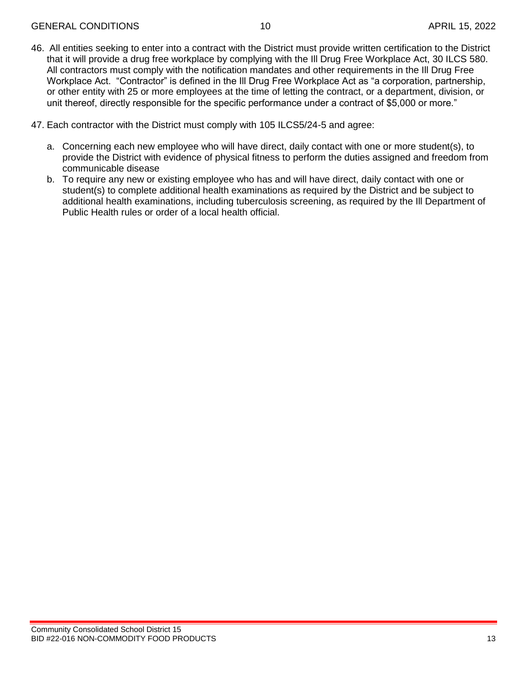- 46. All entities seeking to enter into a contract with the District must provide written certification to the District that it will provide a drug free workplace by complying with the Ill Drug Free Workplace Act, 30 ILCS 580. All contractors must comply with the notification mandates and other requirements in the Ill Drug Free Workplace Act. "Contractor" is defined in the Ill Drug Free Workplace Act as "a corporation, partnership, or other entity with 25 or more employees at the time of letting the contract, or a department, division, or unit thereof, directly responsible for the specific performance under a contract of \$5,000 or more."
- 47. Each contractor with the District must comply with 105 ILCS5/24-5 and agree:
	- a. Concerning each new employee who will have direct, daily contact with one or more student(s), to provide the District with evidence of physical fitness to perform the duties assigned and freedom from communicable disease
	- b. To require any new or existing employee who has and will have direct, daily contact with one or student(s) to complete additional health examinations as required by the District and be subject to additional health examinations, including tuberculosis screening, as required by the Ill Department of Public Health rules or order of a local health official.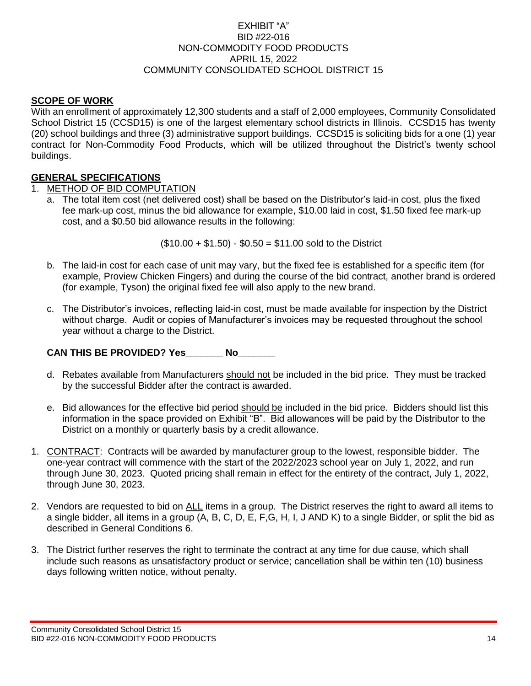#### EXHIBIT "A" BID #22-016 NON-COMMODITY FOOD PRODUCTS APRIL 15, 2022 COMMUNITY CONSOLIDATED SCHOOL DISTRICT 15

#### **SCOPE OF WORK**

With an enrollment of approximately 12,300 students and a staff of 2,000 employees, Community Consolidated School District 15 (CCSD15) is one of the largest elementary school districts in Illinois. CCSD15 has twenty (20) school buildings and three (3) administrative support buildings. CCSD15 is soliciting bids for a one (1) year contract for Non-Commodity Food Products, which will be utilized throughout the District's twenty school buildings.

#### **GENERAL SPECIFICATIONS**

#### 1. METHOD OF BID COMPUTATION

a. The total item cost (net delivered cost) shall be based on the Distributor's laid-in cost, plus the fixed fee mark-up cost, minus the bid allowance for example, \$10.00 laid in cost, \$1.50 fixed fee mark-up cost, and a \$0.50 bid allowance results in the following:

 $($10.00 + $1.50) - $0.50 = $11.00$  sold to the District

- b. The laid-in cost for each case of unit may vary, but the fixed fee is established for a specific item (for example, Proview Chicken Fingers) and during the course of the bid contract, another brand is ordered (for example, Tyson) the original fixed fee will also apply to the new brand.
- c. The Distributor's invoices, reflecting laid-in cost, must be made available for inspection by the District without charge. Audit or copies of Manufacturer's invoices may be requested throughout the school year without a charge to the District.

#### **CAN THIS BE PROVIDED? Yes\_\_\_\_\_\_\_ No\_\_\_\_\_\_\_**

- d. Rebates available from Manufacturers should not be included in the bid price. They must be tracked by the successful Bidder after the contract is awarded.
- e. Bid allowances for the effective bid period should be included in the bid price. Bidders should list this information in the space provided on Exhibit "B". Bid allowances will be paid by the Distributor to the District on a monthly or quarterly basis by a credit allowance.
- 1. CONTRACT: Contracts will be awarded by manufacturer group to the lowest, responsible bidder. The one-year contract will commence with the start of the 2022/2023 school year on July 1, 2022, and run through June 30, 2023. Quoted pricing shall remain in effect for the entirety of the contract, July 1, 2022, through June 30, 2023.
- 2. Vendors are requested to bid on ALL items in a group. The District reserves the right to award all items to a single bidder, all items in a group (A, B, C, D, E, F,G, H, I, J AND K) to a single Bidder, or split the bid as described in General Conditions 6.
- 3. The District further reserves the right to terminate the contract at any time for due cause, which shall include such reasons as unsatisfactory product or service; cancellation shall be within ten (10) business days following written notice, without penalty.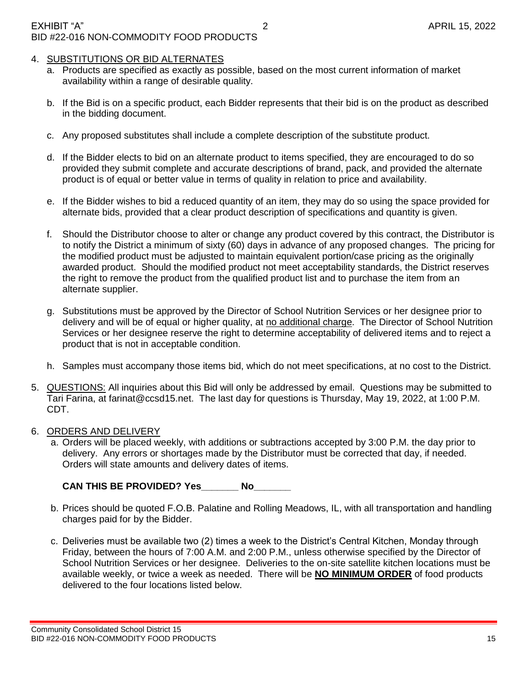#### 4. SUBSTITUTIONS OR BID ALTERNATES

- a. Products are specified as exactly as possible, based on the most current information of market availability within a range of desirable quality.
- b. If the Bid is on a specific product, each Bidder represents that their bid is on the product as described in the bidding document.
- c. Any proposed substitutes shall include a complete description of the substitute product.
- d. If the Bidder elects to bid on an alternate product to items specified, they are encouraged to do so provided they submit complete and accurate descriptions of brand, pack, and provided the alternate product is of equal or better value in terms of quality in relation to price and availability.
- e. If the Bidder wishes to bid a reduced quantity of an item, they may do so using the space provided for alternate bids, provided that a clear product description of specifications and quantity is given.
- f. Should the Distributor choose to alter or change any product covered by this contract, the Distributor is to notify the District a minimum of sixty (60) days in advance of any proposed changes. The pricing for the modified product must be adjusted to maintain equivalent portion/case pricing as the originally awarded product. Should the modified product not meet acceptability standards, the District reserves the right to remove the product from the qualified product list and to purchase the item from an alternate supplier.
- g. Substitutions must be approved by the Director of School Nutrition Services or her designee prior to delivery and will be of equal or higher quality, at no additional charge. The Director of School Nutrition Services or her designee reserve the right to determine acceptability of delivered items and to reject a product that is not in acceptable condition.
- h. Samples must accompany those items bid, which do not meet specifications, at no cost to the District.
- 5. QUESTIONS: All inquiries about this Bid will only be addressed by email. Questions may be submitted to Tari Farina, at farinat@ccsd15.net. The last day for questions is Thursday, May 19, 2022, at 1:00 P.M. CDT.

#### 6. ORDERS AND DELIVERY

a. Orders will be placed weekly, with additions or subtractions accepted by 3:00 P.M. the day prior to delivery. Any errors or shortages made by the Distributor must be corrected that day, if needed. Orders will state amounts and delivery dates of items.

**CAN THIS BE PROVIDED? Yes\_\_\_\_\_\_\_ No\_\_\_\_\_\_\_**

- b. Prices should be quoted F.O.B. Palatine and Rolling Meadows, IL, with all transportation and handling charges paid for by the Bidder.
- c. Deliveries must be available two (2) times a week to the District's Central Kitchen, Monday through Friday, between the hours of 7:00 A.M. and 2:00 P.M., unless otherwise specified by the Director of School Nutrition Services or her designee. Deliveries to the on-site satellite kitchen locations must be available weekly, or twice a week as needed. There will be **NO MINIMUM ORDER** of food products delivered to the four locations listed below.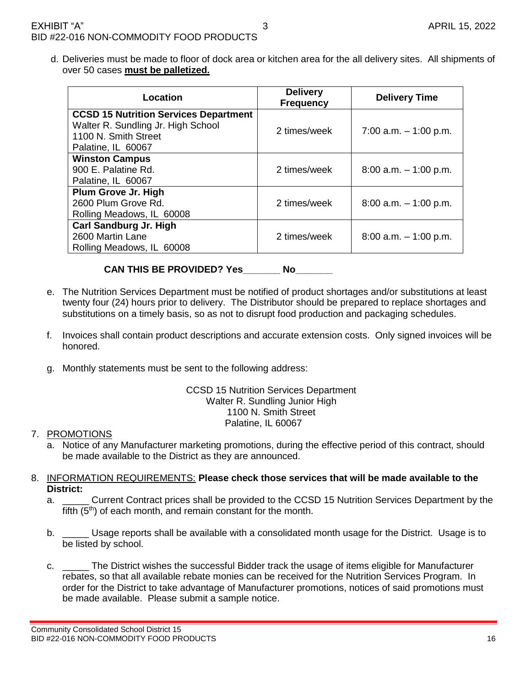d. Deliveries must be made to floor of dock area or kitchen area for the all delivery sites. All shipments of over 50 cases **must be palletized.**

| Location                                                                                                                         | <b>Delivery</b><br><b>Frequency</b> | <b>Delivery Time</b>     |  |  |  |
|----------------------------------------------------------------------------------------------------------------------------------|-------------------------------------|--------------------------|--|--|--|
| <b>CCSD 15 Nutrition Services Department</b><br>Walter R. Sundling Jr. High School<br>1100 N. Smith Street<br>Palatine, IL 60067 | 2 times/week                        | 7:00 a.m. $-$ 1:00 p.m.  |  |  |  |
| <b>Winston Campus</b><br>900 E. Palatine Rd.<br>Palatine, IL 60067                                                               | 2 times/week                        | $8:00$ a.m. $-1:00$ p.m. |  |  |  |
| Plum Grove Jr. High<br>2600 Plum Grove Rd.<br>Rolling Meadows, IL 60008                                                          | 2 times/week                        | $8:00$ a.m. $-1:00$ p.m. |  |  |  |
| <b>Carl Sandburg Jr. High</b><br>2600 Martin Lane<br>Rolling Meadows, IL 60008                                                   | 2 times/week                        | $8:00$ a.m. $-1:00$ p.m. |  |  |  |

**CAN THIS BE PROVIDED? Yes\_\_\_\_\_\_\_ No\_\_\_\_\_\_\_**

- e. The Nutrition Services Department must be notified of product shortages and/or substitutions at least twenty four (24) hours prior to delivery. The Distributor should be prepared to replace shortages and substitutions on a timely basis, so as not to disrupt food production and packaging schedules.
- f. Invoices shall contain product descriptions and accurate extension costs. Only signed invoices will be honored.
- g. Monthly statements must be sent to the following address:

#### CCSD 15 Nutrition Services Department Walter R. Sundling Junior High 1100 N. Smith Street Palatine, IL 60067

#### 7. PROMOTIONS

- Notice of any Manufacturer marketing promotions, during the effective period of this contract, should be made available to the District as they are announced.
- 8. INFORMATION REQUIREMENTS: **Please check those services that will be made available to the District:**
	- a. \_\_\_\_\_\_ Current Contract prices shall be provided to the CCSD 15 Nutrition Services Department by the fifth  $(5<sup>th</sup>)$  of each month, and remain constant for the month.
	- b. \_\_\_\_\_ Usage reports shall be available with a consolidated month usage for the District. Usage is to be listed by school.
	- c. \_\_\_\_\_ The District wishes the successful Bidder track the usage of items eligible for Manufacturer rebates, so that all available rebate monies can be received for the Nutrition Services Program. In order for the District to take advantage of Manufacturer promotions, notices of said promotions must be made available. Please submit a sample notice.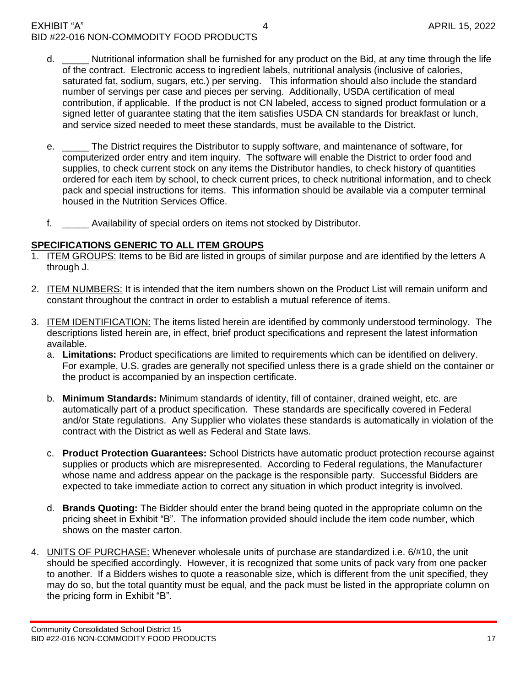#### EXHIBIT "A" 4 APRIL 15, 2022 BID #22-016 NON-COMMODITY FOOD PRODUCTS

- d. **EXECT Mutritional information shall be furnished for any product on the Bid, at any time through the life** of the contract. Electronic access to ingredient labels, nutritional analysis (inclusive of calories, saturated fat, sodium, sugars, etc.) per serving. This information should also include the standard number of servings per case and pieces per serving. Additionally, USDA certification of meal contribution, if applicable. If the product is not CN labeled, access to signed product formulation or a signed letter of guarantee stating that the item satisfies USDA CN standards for breakfast or lunch, and service sized needed to meet these standards, must be available to the District.
- e. \_\_\_\_\_ The District requires the Distributor to supply software, and maintenance of software, for computerized order entry and item inquiry. The software will enable the District to order food and supplies, to check current stock on any items the Distributor handles, to check history of quantities ordered for each item by school, to check current prices, to check nutritional information, and to check pack and special instructions for items. This information should be available via a computer terminal housed in the Nutrition Services Office.
- f. \_\_\_\_\_ Availability of special orders on items not stocked by Distributor.

#### **SPECIFICATIONS GENERIC TO ALL ITEM GROUPS**

- 1. ITEM GROUPS: Items to be Bid are listed in groups of similar purpose and are identified by the letters A through J.
- 2. ITEM NUMBERS: It is intended that the item numbers shown on the Product List will remain uniform and constant throughout the contract in order to establish a mutual reference of items.
- 3. ITEM IDENTIFICATION: The items listed herein are identified by commonly understood terminology. The descriptions listed herein are, in effect, brief product specifications and represent the latest information available.
	- a. **Limitations:** Product specifications are limited to requirements which can be identified on delivery. For example, U.S. grades are generally not specified unless there is a grade shield on the container or the product is accompanied by an inspection certificate.
	- b. **Minimum Standards:** Minimum standards of identity, fill of container, drained weight, etc. are automatically part of a product specification. These standards are specifically covered in Federal and/or State regulations. Any Supplier who violates these standards is automatically in violation of the contract with the District as well as Federal and State laws.
	- c. **Product Protection Guarantees:** School Districts have automatic product protection recourse against supplies or products which are misrepresented. According to Federal regulations, the Manufacturer whose name and address appear on the package is the responsible party. Successful Bidders are expected to take immediate action to correct any situation in which product integrity is involved.
	- d. **Brands Quoting:** The Bidder should enter the brand being quoted in the appropriate column on the pricing sheet in Exhibit "B". The information provided should include the item code number, which shows on the master carton.
- 4. **UNITS OF PURCHASE:** Whenever wholesale units of purchase are standardized i.e. 6/#10, the unit should be specified accordingly. However, it is recognized that some units of pack vary from one packer to another. If a Bidders wishes to quote a reasonable size, which is different from the unit specified, they may do so, but the total quantity must be equal, and the pack must be listed in the appropriate column on the pricing form in Exhibit "B".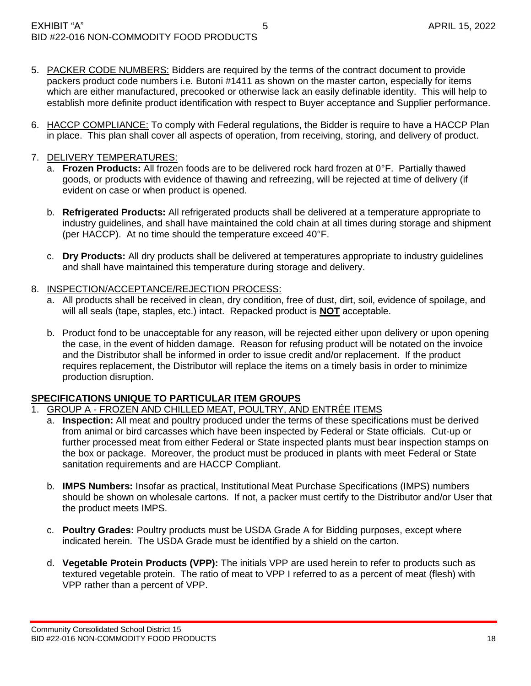- 5. PACKER CODE NUMBERS: Bidders are required by the terms of the contract document to provide packers product code numbers i.e. Butoni #1411 as shown on the master carton, especially for items which are either manufactured, precooked or otherwise lack an easily definable identity. This will help to establish more definite product identification with respect to Buyer acceptance and Supplier performance.
- 6. HACCP COMPLIANCE: To comply with Federal regulations, the Bidder is require to have a HACCP Plan in place. This plan shall cover all aspects of operation, from receiving, storing, and delivery of product.

#### 7. DELIVERY TEMPERATURES:

- a. **Frozen Products:** All frozen foods are to be delivered rock hard frozen at 0°F. Partially thawed goods, or products with evidence of thawing and refreezing, will be rejected at time of delivery (if evident on case or when product is opened.
- b. **Refrigerated Products:** All refrigerated products shall be delivered at a temperature appropriate to industry guidelines, and shall have maintained the cold chain at all times during storage and shipment (per HACCP). At no time should the temperature exceed 40°F.
- c. **Dry Products:** All dry products shall be delivered at temperatures appropriate to industry guidelines and shall have maintained this temperature during storage and delivery.

#### 8. INSPECTION/ACCEPTANCE/REJECTION PROCESS:

- a. All products shall be received in clean, dry condition, free of dust, dirt, soil, evidence of spoilage, and will all seals (tape, staples, etc.) intact. Repacked product is **NOT** acceptable.
- b. Product fond to be unacceptable for any reason, will be rejected either upon delivery or upon opening the case, in the event of hidden damage. Reason for refusing product will be notated on the invoice and the Distributor shall be informed in order to issue credit and/or replacement. If the product requires replacement, the Distributor will replace the items on a timely basis in order to minimize production disruption.

#### **SPECIFICATIONS UNIQUE TO PARTICULAR ITEM GROUPS**

- 1. GROUP A FROZEN AND CHILLED MEAT, POULTRY, AND ENTRÉE ITEMS
	- a. **Inspection:** All meat and poultry produced under the terms of these specifications must be derived from animal or bird carcasses which have been inspected by Federal or State officials. Cut-up or further processed meat from either Federal or State inspected plants must bear inspection stamps on the box or package. Moreover, the product must be produced in plants with meet Federal or State sanitation requirements and are HACCP Compliant.
	- b. **IMPS Numbers:** Insofar as practical, Institutional Meat Purchase Specifications (IMPS) numbers should be shown on wholesale cartons. If not, a packer must certify to the Distributor and/or User that the product meets IMPS.
	- c. **Poultry Grades:** Poultry products must be USDA Grade A for Bidding purposes, except where indicated herein. The USDA Grade must be identified by a shield on the carton.
	- d. **Vegetable Protein Products (VPP):** The initials VPP are used herein to refer to products such as textured vegetable protein. The ratio of meat to VPP I referred to as a percent of meat (flesh) with VPP rather than a percent of VPP.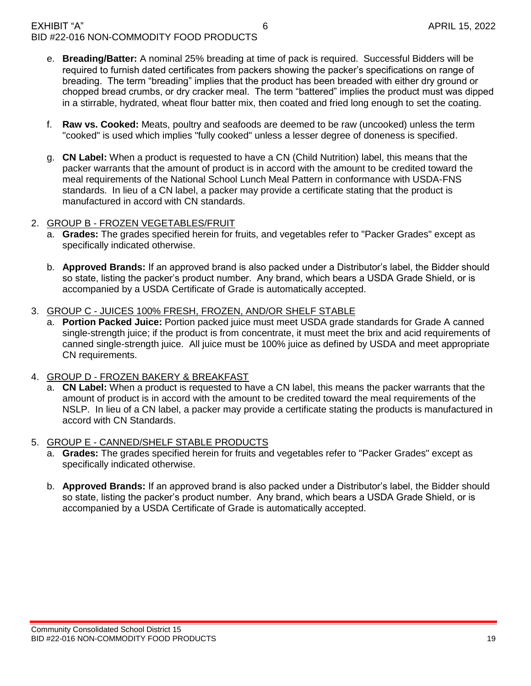- e. **Breading/Batter:** A nominal 25% breading at time of pack is required. Successful Bidders will be required to furnish dated certificates from packers showing the packer's specifications on range of breading. The term "breading" implies that the product has been breaded with either dry ground or chopped bread crumbs, or dry cracker meal. The term "battered" implies the product must was dipped in a stirrable, hydrated, wheat flour batter mix, then coated and fried long enough to set the coating.
- f. **Raw vs. Cooked:** Meats, poultry and seafoods are deemed to be raw (uncooked) unless the term "cooked" is used which implies "fully cooked" unless a lesser degree of doneness is specified.
- g. **CN Label:** When a product is requested to have a CN (Child Nutrition) label, this means that the packer warrants that the amount of product is in accord with the amount to be credited toward the meal requirements of the National School Lunch Meal Pattern in conformance with USDA-FNS standards. In lieu of a CN label, a packer may provide a certificate stating that the product is manufactured in accord with CN standards.

#### 2. GROUP B - FROZEN VEGETABLES/FRUIT

- a. **Grades:** The grades specified herein for fruits, and vegetables refer to "Packer Grades" except as specifically indicated otherwise.
- b. **Approved Brands:** If an approved brand is also packed under a Distributor's label, the Bidder should so state, listing the packer's product number. Any brand, which bears a USDA Grade Shield, or is accompanied by a USDA Certificate of Grade is automatically accepted.

#### 3. GROUP C - JUICES 100% FRESH, FROZEN, AND/OR SHELF STABLE

a. **Portion Packed Juice:** Portion packed juice must meet USDA grade standards for Grade A canned single-strength juice; if the product is from concentrate, it must meet the brix and acid requirements of canned single-strength juice. All juice must be 100% juice as defined by USDA and meet appropriate CN requirements.

#### 4. GROUP D - FROZEN BAKERY & BREAKFAST

a. **CN Label:** When a product is requested to have a CN label, this means the packer warrants that the amount of product is in accord with the amount to be credited toward the meal requirements of the NSLP. In lieu of a CN label, a packer may provide a certificate stating the products is manufactured in accord with CN Standards.

#### 5. GROUP E - CANNED/SHELF STABLE PRODUCTS

- a. **Grades:** The grades specified herein for fruits and vegetables refer to "Packer Grades" except as specifically indicated otherwise.
- b. **Approved Brands:** If an approved brand is also packed under a Distributor's label, the Bidder should so state, listing the packer's product number. Any brand, which bears a USDA Grade Shield, or is accompanied by a USDA Certificate of Grade is automatically accepted.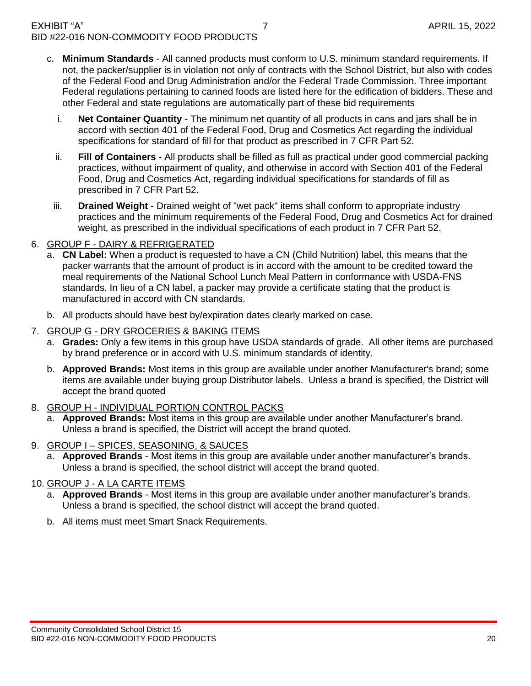- c. **Minimum Standards** All canned products must conform to U.S. minimum standard requirements. If not, the packer/supplier is in violation not only of contracts with the School District, but also with codes of the Federal Food and Drug Administration and/or the Federal Trade Commission. Three important Federal regulations pertaining to canned foods are listed here for the edification of bidders. These and other Federal and state regulations are automatically part of these bid requirements
	- i. **Net Container Quantity** The minimum net quantity of all products in cans and jars shall be in accord with section 401 of the Federal Food, Drug and Cosmetics Act regarding the individual specifications for standard of fill for that product as prescribed in 7 CFR Part 52.
	- ii. **Fill of Containers** All products shall be filled as full as practical under good commercial packing practices, without impairment of quality, and otherwise in accord with Section 401 of the Federal Food, Drug and Cosmetics Act, regarding individual specifications for standards of fill as prescribed in 7 CFR Part 52.
	- iii. **Drained Weight** Drained weight of "wet pack" items shall conform to appropriate industry practices and the minimum requirements of the Federal Food, Drug and Cosmetics Act for drained weight, as prescribed in the individual specifications of each product in 7 CFR Part 52.

#### 6. GROUP F - DAIRY & REFRIGERATED

- a. **CN Label:** When a product is requested to have a CN (Child Nutrition) label, this means that the packer warrants that the amount of product is in accord with the amount to be credited toward the meal requirements of the National School Lunch Meal Pattern in conformance with USDA-FNS standards. In lieu of a CN label, a packer may provide a certificate stating that the product is manufactured in accord with CN standards.
- b. All products should have best by/expiration dates clearly marked on case.
- 7. GROUP G DRY GROCERIES & BAKING ITEMS
	- a. **Grades:** Only a few items in this group have USDA standards of grade. All other items are purchased by brand preference or in accord with U.S. minimum standards of identity.
	- b. **Approved Brands:** Most items in this group are available under another Manufacturer's brand; some items are available under buying group Distributor labels. Unless a brand is specified, the District will accept the brand quoted
- 8. GROUP H INDIVIDUAL PORTION CONTROL PACKS
	- a. **Approved Brands:** Most items in this group are available under another Manufacturer's brand. Unless a brand is specified, the District will accept the brand quoted.
- 9. GROUP I SPICES, SEASONING, & SAUCES
	- a. **Approved Brands**  Most items in this group are available under another manufacturer's brands. Unless a brand is specified, the school district will accept the brand quoted.

#### 10. GROUP J - A LA CARTE ITEMS

- a. **Approved Brands** Most items in this group are available under another manufacturer's brands. Unless a brand is specified, the school district will accept the brand quoted.
- b. All items must meet Smart Snack Requirements.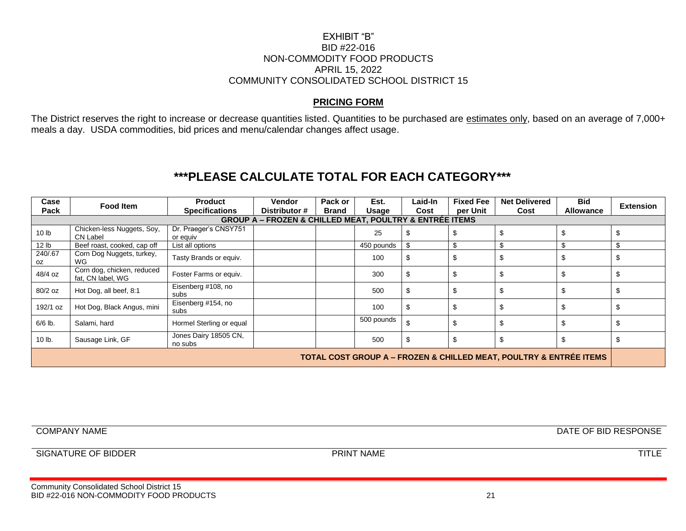#### EXHIBIT "B" BID #22-016 NON-COMMODITY FOOD PRODUCTS APRIL 15, 2022 COMMUNITY CONSOLIDATED SCHOOL DISTRICT 15

#### **PRICING FORM**

The District reserves the right to increase or decrease quantities listed. Quantities to be purchased are estimates only, based on an average of 7,000+ meals a day. USDA commodities, bid prices and menu/calendar changes affect usage.

# **\*\*\*PLEASE CALCULATE TOTAL FOR EACH CATEGORY\*\*\***

| Case<br>Pack                                                                      | <b>Food Item</b>                                | <b>Product</b><br><b>Specifications</b> | Vendor<br>Distributor #                                                | Pack or<br><b>Brand</b> | Est.<br>Usage | Laid-In<br>Cost | <b>Fixed Fee</b><br>per Unit | <b>Net Delivered</b><br>Cost | <b>Bid</b><br>Allowance | <b>Extension</b> |
|-----------------------------------------------------------------------------------|-------------------------------------------------|-----------------------------------------|------------------------------------------------------------------------|-------------------------|---------------|-----------------|------------------------------|------------------------------|-------------------------|------------------|
|                                                                                   |                                                 |                                         | <b>GROUP A - FROZEN &amp; CHILLED MEAT, POULTRY &amp; ENTRÉE ITEMS</b> |                         |               |                 |                              |                              |                         |                  |
| 10 <sub>lb</sub>                                                                  | Chicken-less Nuggets, Soy,<br><b>CN Label</b>   | Dr. Praeger's CNSY751<br>or equiv       |                                                                        |                         | 25            | S               | \$                           | \$                           | \$                      |                  |
| 12 lb                                                                             | Beef roast, cooked, cap off                     | List all options                        |                                                                        |                         | 450 pounds    | \$              | \$                           | \$                           | \$                      |                  |
| 240/.67<br>oz                                                                     | Corn Dog Nuggets, turkey,<br>WG                 | Tasty Brands or equiv.                  |                                                                        |                         | 100           | \$              | \$                           | \$                           | \$                      |                  |
| 48/4 oz                                                                           | Corn dog, chicken, reduced<br>fat, CN label, WG | Foster Farms or equiv.                  |                                                                        |                         | 300           | \$              | \$                           | \$                           | \$                      |                  |
| $80/2$ oz                                                                         | Hot Dog, all beef, 8:1                          | Eisenberg #108, no<br>subs              |                                                                        |                         | 500           | \$              | \$                           | \$                           | \$                      |                  |
| 192/1 oz                                                                          | Hot Dog, Black Angus, mini                      | Eisenberg #154, no<br>subs              |                                                                        |                         | 100           | \$              | S                            |                              | \$                      |                  |
| $6/6$ lb.                                                                         | Salami, hard                                    | Hormel Sterling or equal                |                                                                        |                         | 500 pounds    |                 | \$                           | \$                           | \$                      |                  |
| 10 lb.                                                                            | Sausage Link, GF                                | Jones Dairy 18505 CN,<br>no subs        |                                                                        |                         | 500           | \$              | \$                           | \$                           | \$                      |                  |
| <b>TOTAL COST GROUP A - FROZEN &amp; CHILLED MEAT, POULTRY &amp; ENTREE ITEMS</b> |                                                 |                                         |                                                                        |                         |               |                 |                              |                              |                         |                  |

COMPANY NAME DATE OF BID RESPONSE

SIGNATURE OF BIDDER TITLE PRINT NAME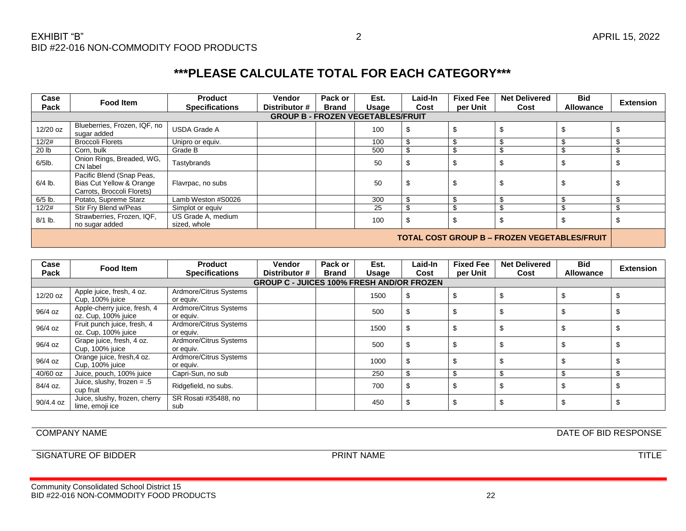| Case<br>Pack                                 | Food Item                                                                                      | <b>Product</b><br><b>Specifications</b> | <b>Vendor</b><br>Distributor # | Pack or<br><b>Brand</b> | Est.<br>Usage | Laid-In<br>Cost | <b>Fixed Fee</b><br>per Unit | <b>Net Delivered</b><br>Cost | <b>Bid</b><br><b>Allowance</b> | <b>Extension</b> |  |
|----------------------------------------------|------------------------------------------------------------------------------------------------|-----------------------------------------|--------------------------------|-------------------------|---------------|-----------------|------------------------------|------------------------------|--------------------------------|------------------|--|
| <b>GROUP B - FROZEN VEGETABLES/FRUIT</b>     |                                                                                                |                                         |                                |                         |               |                 |                              |                              |                                |                  |  |
| 12/20 oz                                     | Blueberries, Frozen, IQF, no<br>sugar added                                                    | <b>USDA Grade A</b>                     |                                |                         | 100           | \$              | \$                           | -S                           |                                |                  |  |
| 12/2#                                        | <b>Broccoli Florets</b>                                                                        | Unipro or equiv.                        |                                |                         | 100           | \$              | \$.                          |                              |                                |                  |  |
| 20 lb                                        | Corn, bulk                                                                                     | Grade B                                 |                                |                         | 500           | \$              | \$.                          |                              |                                |                  |  |
| $6/5$ lb.                                    | Onion Rings, Breaded, WG,<br>CN label                                                          | Tastybrands                             |                                |                         | 50            | \$              | \$                           | \$                           |                                | J                |  |
| $6/4$ lb.                                    | Pacific Blend (Snap Peas,<br><b>Bias Cut Yellow &amp; Orange</b><br>Carrots, Broccoli Florets) | Flavrpac, no subs                       |                                |                         | 50            | \$              | \$                           | \$                           | J                              | S                |  |
| $6/5$ lb.                                    | Potato, Supreme Starz                                                                          | Lamb Weston #S0026                      |                                |                         | 300           | \$              | \$                           | \$                           |                                |                  |  |
| 12/2#                                        | Stir Fry Blend w/Peas                                                                          | Simplot or equiv                        |                                |                         | 25            | \$              | \$                           | \$                           |                                |                  |  |
| $8/1$ lb.                                    | Strawberries, Frozen, IQF,<br>no sugar added                                                   | US Grade A, medium<br>sized, whole      |                                |                         | 100           | \$              | \$                           | \$                           |                                |                  |  |
| TOTAL COST GROUP B - FROZEN VEGETABLES/FRUIT |                                                                                                |                                         |                                |                         |               |                 |                              |                              |                                |                  |  |

| Case<br>Pack | Food Item                                           | <b>Product</b><br><b>Specifications</b> | <b>Vendor</b><br>Distributor #                   | Pack or<br><b>Brand</b> | Est.<br>Usage | Laid-In<br>Cost | <b>Fixed Fee</b><br>per Unit | <b>Net Delivered</b><br>Cost | <b>Bid</b><br><b>Allowance</b> | <b>Extension</b> |
|--------------|-----------------------------------------------------|-----------------------------------------|--------------------------------------------------|-------------------------|---------------|-----------------|------------------------------|------------------------------|--------------------------------|------------------|
|              |                                                     |                                         | <b>GROUP C - JUICES 100% FRESH AND/OR FROZEN</b> |                         |               |                 |                              |                              |                                |                  |
| 12/20 oz     | Apple juice, fresh, 4 oz.<br>Cup, 100% juice        | Ardmore/Citrus Systems<br>or equiv.     |                                                  |                         | 1500          | - \$            |                              |                              |                                |                  |
| 96/4 oz      | Apple-cherry juice, fresh, 4<br>oz. Cup, 100% juice | Ardmore/Citrus Systems<br>or equiv.     |                                                  |                         | 500           | \$              |                              |                              |                                |                  |
| 96/4 oz      | Fruit punch juice, fresh, 4<br>oz. Cup, 100% juice  | Ardmore/Citrus Systems<br>or equiv.     |                                                  |                         | 1500          | S               |                              |                              |                                |                  |
| 96/4 oz      | Grape juice, fresh, 4 oz.<br>Cup, 100% juice        | Ardmore/Citrus Systems<br>or equiv.     |                                                  |                         | 500           | \$              |                              |                              |                                |                  |
| 96/4 oz      | Orange juice, fresh, 4 oz.<br>Cup, 100% juice       | Ardmore/Citrus Systems<br>or equiv.     |                                                  |                         | 1000          | \$              |                              |                              |                                |                  |
| 40/60 oz     | Juice, pouch, 100% juice                            | Capri-Sun, no sub                       |                                                  |                         | 250           | \$              |                              |                              |                                |                  |
| 84/4 oz.     | Juice, slushy, frozen = $.5$<br>cup fruit           | Ridgefield, no subs.                    |                                                  |                         | 700           | \$              |                              |                              |                                |                  |
| 90/4.4 oz    | Juice, slushy, frozen, cherry<br>lime, emoji ice    | SR Rosati #35488, no<br>sub             |                                                  |                         | 450           | \$              |                              |                              |                                |                  |

COMPANY NAME DATE OF BID RESPONSE

SIGNATURE OF BIDDER TITLE PRINT NAME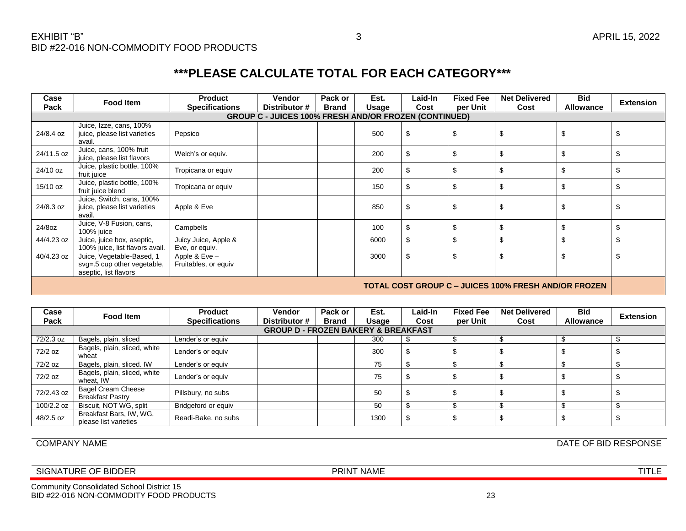| Case       | <b>Food Item</b>                                                                  | <b>Product</b>                          | Vendor                                                       | Pack or      | Est.  | Laid-In | <b>Fixed Fee</b> | <b>Net Delivered</b>                                        | <b>Bid</b>       |                  |
|------------|-----------------------------------------------------------------------------------|-----------------------------------------|--------------------------------------------------------------|--------------|-------|---------|------------------|-------------------------------------------------------------|------------------|------------------|
| Pack       |                                                                                   | <b>Specifications</b>                   | Distributor #                                                | <b>Brand</b> | Usage | Cost    | per Unit         | Cost                                                        | <b>Allowance</b> | <b>Extension</b> |
|            |                                                                                   |                                         | <b>GROUP C - JUICES 100% FRESH AND/OR FROZEN (CONTINUED)</b> |              |       |         |                  |                                                             |                  |                  |
| 24/8.4 oz  | Juice, Izze, cans, 100%<br>juice, please list varieties<br>avail.                 | Pepsico                                 |                                                              |              | 500   | \$      |                  | \$                                                          |                  |                  |
| 24/11.5 oz | Juice, cans, 100% fruit<br>juice, please list flavors                             | Welch's or equiv.                       |                                                              |              | 200   | \$      |                  | £                                                           |                  |                  |
| 24/10 oz   | Juice, plastic bottle, 100%<br>fruit juice                                        | Tropicana or equiv                      |                                                              |              | 200   | \$      | \$               | \$                                                          |                  |                  |
| 15/10 oz   | Juice, plastic bottle, 100%<br>fruit juice blend                                  | Tropicana or equiv                      |                                                              |              | 150   | \$      | \$               | \$                                                          |                  |                  |
| 24/8.3 oz  | Juice, Switch, cans, 100%<br>juice, please list varieties<br>avail.               | Apple & Eve                             |                                                              |              | 850   | \$      |                  | \$                                                          |                  |                  |
| 24/8oz     | Juice, V-8 Fusion, cans,<br>100% juice                                            | Campbells                               |                                                              |              | 100   | \$      |                  | \$                                                          |                  |                  |
| 44/4.23 oz | Juice, juice box, aseptic,<br>100% juice, list flavors avail.                     | Juicy Juice, Apple &<br>Eve, or equiv.  |                                                              |              | 6000  | \$      | Ŝ.               | \$                                                          |                  |                  |
| 40/4.23 oz | Juice, Vegetable-Based, 1<br>svg=.5 cup other vegetable,<br>aseptic, list flavors | Apple & $Eve -$<br>Fruitables, or equiv |                                                              |              | 3000  | \$      | \$               | \$                                                          | £.               | Ŝ.               |
|            |                                                                                   |                                         |                                                              |              |       |         |                  | <b>TOTAL COST GROUP C – JUICES 100% FRESH AND/OR FROZEN</b> |                  |                  |

| Case       | Food Item                                            | <b>Product</b>        | <b>Vendor</b>                                  | Pack or      | Est.          | Laid-In | <b>Fixed Fee</b> | <b>Net Delivered</b> | <b>Bid</b>       | <b>Extension</b> |
|------------|------------------------------------------------------|-----------------------|------------------------------------------------|--------------|---------------|---------|------------------|----------------------|------------------|------------------|
| Pack       |                                                      | <b>Specifications</b> | Distributor #                                  | <b>Brand</b> | Usage<br>Cost |         | per Unit         | Cost                 | <b>Allowance</b> |                  |
|            |                                                      |                       | <b>GROUP D - FROZEN BAKERY &amp; BREAKFAST</b> |              |               |         |                  |                      |                  |                  |
| 72/2.3 oz  | Bagels, plain, sliced                                | Lender's or equiv     |                                                |              | 300           | -\$     |                  |                      |                  |                  |
| 72/2 oz    | Bagels, plain, sliced, white<br>wheat                | Lender's or equiv     |                                                |              | 300           | \$      |                  |                      |                  |                  |
| 72/2 oz    | Bagels, plain, sliced. IW                            | Lender's or equiv     |                                                |              | 75            | \$      |                  |                      |                  |                  |
| 72/2 oz    | Bagels, plain, sliced, white<br>wheat, IW            | Lender's or equiv     |                                                |              | 75            | \$      |                  |                      |                  |                  |
| 72/2.43 oz | <b>Bagel Cream Cheese</b><br><b>Breakfast Pastry</b> | Pillsbury, no subs    |                                                |              | 50            | \$      |                  |                      |                  |                  |
| 100/2.2 oz | Biscuit, NOT WG, split                               | Bridgeford or equiv   |                                                |              | 50            | \$      |                  |                      |                  |                  |
| 48/2.5 oz  | Breakfast Bars, IW, WG,<br>please list varieties     | Readi-Bake, no subs   |                                                |              | 1300          | \$      | æ                |                      |                  |                  |

Community Consolidated School District 15

COMPANY NAME DATE OF BID RESPONSE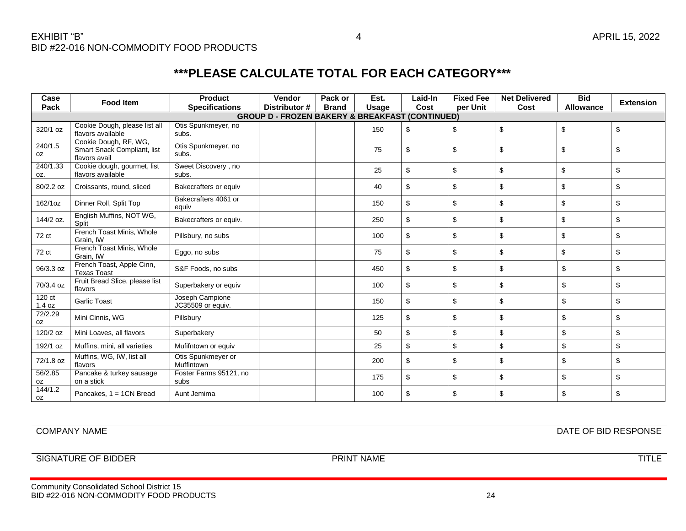| Case                 | <b>Food Item</b>                                                      | <b>Product</b>                       | Vendor                                         | Pack or      | Est.         | Laid-In     | <b>Fixed Fee</b> | <b>Net Delivered</b> | <b>Bid</b> | <b>Extension</b> |
|----------------------|-----------------------------------------------------------------------|--------------------------------------|------------------------------------------------|--------------|--------------|-------------|------------------|----------------------|------------|------------------|
| Pack                 |                                                                       | <b>Specifications</b>                | Distributor #                                  | <b>Brand</b> | <b>Usage</b> | Cost        | per Unit         | Cost                 | Allowance  |                  |
|                      |                                                                       |                                      | <b>GROUP D - FROZEN BAKERY &amp; BREAKFAST</b> |              |              | (CONTINUED) |                  |                      |            |                  |
| 320/1 oz             | Cookie Dough, please list all<br>flavors available                    | Otis Spunkmeyer, no<br>subs.         |                                                |              | 150          | \$          | \$               | \$                   | \$         | \$               |
| 240/1.5<br>0Z        | Cookie Dough, RF, WG,<br>Smart Snack Compliant, list<br>flavors avail | Otis Spunkmeyer, no<br>subs.         |                                                |              | 75           | \$          | \$               | \$                   | \$         | \$               |
| 240/1.33<br>OZ.      | Cookie dough, gourmet, list<br>flavors available                      | Sweet Discovery, no<br>subs.         |                                                |              | 25           | \$          | \$               | \$                   | \$         | \$               |
| 80/2.2 oz            | Croissants, round, sliced                                             | Bakecrafters or equiv                |                                                |              | 40           | \$          | \$               | \$                   | \$         | \$               |
| 162/1oz              | Dinner Roll, Split Top                                                | Bakecrafters 4061 or<br>equiv        |                                                |              | 150          | \$          | \$               | \$                   | \$         | \$               |
| 144/2 oz.            | English Muffins, NOT WG,<br>Split                                     | Bakecrafters or equiv.               |                                                |              | 250          | \$          | \$               | \$                   | \$         | \$               |
| 72 ct                | French Toast Minis, Whole<br>Grain, IW                                | Pillsbury, no subs                   |                                                |              | 100          | \$          | \$               | \$                   | \$         | \$               |
| 72 ct                | French Toast Minis, Whole<br>Grain, IW                                | Eggo, no subs                        |                                                |              | 75           | \$          | \$               | \$                   | \$         | \$               |
| 96/3.3 oz            | French Toast, Apple Cinn,<br><b>Texas Toast</b>                       | S&F Foods, no subs                   |                                                |              | 450          | \$          | \$               | \$                   | \$         | \$               |
| 70/3.4 oz            | Fruit Bread Slice, please list<br>flavors                             | Superbakery or equiv                 |                                                |              | 100          | \$          | \$               | \$                   | \$         | \$               |
| 120 ct<br>1.4 oz     | <b>Garlic Toast</b>                                                   | Joseph Campione<br>JC35509 or equiv. |                                                |              | 150          | \$          | \$               | \$                   | \$         | \$               |
| 72/2.29<br>0Z        | Mini Cinnis, WG                                                       | Pillsbury                            |                                                |              | 125          | \$          | \$               | \$                   | \$         | \$               |
| 120/2 oz             | Mini Loaves, all flavors                                              | Superbakery                          |                                                |              | 50           | \$          | \$               | \$                   | \$         | \$               |
| 192/1 oz             | Muffins, mini, all varieties                                          | Mufifntown or equiv                  |                                                |              | 25           | \$          | \$               | \$                   | \$         | \$               |
| 72/1.8 oz            | Muffins, WG, IW, list all<br>flavors                                  | Otis Spunkmeyer or<br>Muffintown     |                                                |              | 200          | \$          | \$               | \$                   | \$         | \$               |
| 56/2.85<br>0Z        | Pancake & turkey sausage<br>on a stick                                | Foster Farms 95121, no<br>subs       |                                                |              | 175          | \$          | \$               | \$                   | \$         | \$               |
| 144/1.2<br><b>OZ</b> | Pancakes, 1 = 1CN Bread                                               | Aunt Jemima                          |                                                |              | 100          | \$          | \$               | \$                   | \$         | \$               |

Community Consolidated School District 15

COMPANY NAME DATE OF BID RESPONSE

SIGNATURE OF BIDDER TITLE PRINT NAME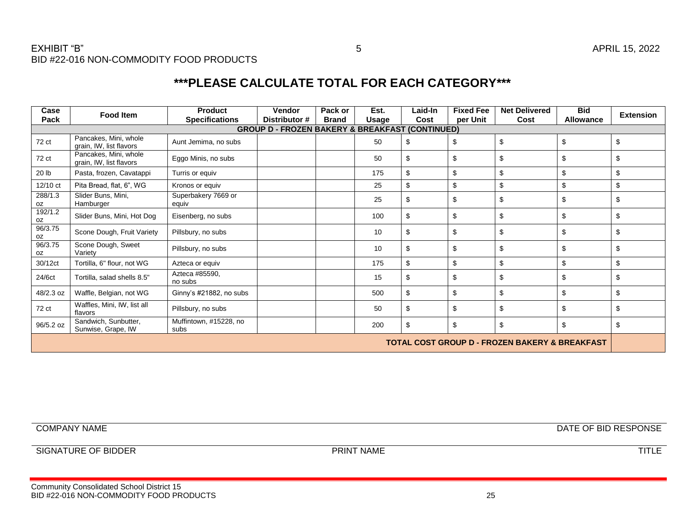BID #22-016 NON-COMMODITY FOOD PRODUCTS

# **\*\*\*PLEASE CALCULATE TOTAL FOR EACH CATEGORY\*\*\***

| Case<br>Pack  | <b>Food Item</b>                                 | <b>Product</b><br><b>Specifications</b> | <b>Vendor</b><br>Distributor #                 | Pack or<br><b>Brand</b> | Est.<br><b>Usage</b> | Laid-In<br>Cost | <b>Fixed Fee</b><br>per Unit | <b>Net Delivered</b><br>Cost                              | <b>Bid</b><br>Allowance | <b>Extension</b> |
|---------------|--------------------------------------------------|-----------------------------------------|------------------------------------------------|-------------------------|----------------------|-----------------|------------------------------|-----------------------------------------------------------|-------------------------|------------------|
|               |                                                  |                                         | <b>GROUP D - FROZEN BAKERY &amp; BREAKFAST</b> |                         |                      | (CONTINUED)     |                              |                                                           |                         |                  |
| 72 ct         | Pancakes, Mini, whole<br>grain. IW. list flavors | Aunt Jemima, no subs                    |                                                |                         | 50                   | \$              | \$                           | \$                                                        | \$                      | \$               |
| 72 ct         | Pancakes, Mini, whole<br>grain, IW, list flavors | Eggo Minis, no subs                     |                                                |                         | 50                   | \$              | \$                           | \$                                                        | \$                      | \$               |
| 20 lb         | Pasta, frozen, Cavatappi                         | Turris or equiv                         |                                                |                         | 175                  | \$              | \$                           | \$                                                        | \$                      | \$               |
| 12/10 ct      | Pita Bread, flat, 6", WG                         | Kronos or equiv                         |                                                |                         | 25                   | \$              | \$                           | \$                                                        | \$                      | \$               |
| 288/1.3<br>0Z | Slider Buns, Mini,<br>Hamburger                  | Superbakery 7669 or<br>equiv            |                                                |                         | 25                   | \$              | \$                           | \$                                                        | \$                      | \$               |
| 192/1.2<br>0Z | Slider Buns, Mini, Hot Dog                       | Eisenberg, no subs                      |                                                |                         | 100                  | \$              | \$                           | \$                                                        | \$                      | \$               |
| 96/3.75<br>0Z | Scone Dough, Fruit Variety                       | Pillsbury, no subs                      |                                                |                         | 10                   | \$              | \$                           | \$                                                        | \$                      | \$               |
| 96/3.75<br>oz | Scone Dough, Sweet<br>Varietv                    | Pillsbury, no subs                      |                                                |                         | 10                   | \$              | \$                           | \$                                                        | \$                      | \$               |
| 30/12ct       | Tortilla, 6" flour, not WG                       | Azteca or equiv                         |                                                |                         | 175                  | \$              | \$                           | \$                                                        | \$                      | \$               |
| 24/6ct        | Tortilla, salad shells 8.5"                      | Azteca #85590,<br>no subs               |                                                |                         | 15                   | \$              | \$                           | \$                                                        | \$                      | \$               |
| 48/2.3 oz     | Waffle, Belgian, not WG                          | Ginny's #21882, no subs                 |                                                |                         | 500                  | \$              | \$                           | \$                                                        | \$                      | \$               |
| 72 ct         | Waffles, Mini, IW, list all<br>flavors           | Pillsbury, no subs                      |                                                |                         | 50                   | \$              | \$                           | \$                                                        | \$                      | \$               |
| 96/5.2 oz     | Sandwich, Sunbutter,<br>Sunwise, Grape, IW       | Muffintown, #15228, no<br>subs          |                                                |                         | 200                  | \$              | \$                           | \$                                                        | \$                      | \$               |
|               |                                                  |                                         |                                                |                         |                      |                 |                              | <b>TOTAL COST GROUP D - FROZEN BAKERY &amp; BREAKFAST</b> |                         |                  |

COMPANY NAME DATE OF BID RESPONSE

SIGNATURE OF BIDDER TITLE PRINT NAME

EXHIBIT "B" APRIL 15, 2022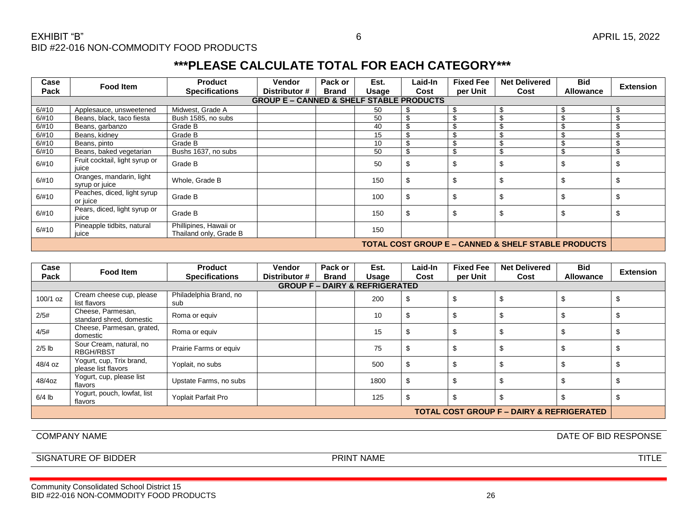| Case  | Food Item                                                      | <b>Product</b>                                   | <b>Vendor</b>                                       | Pack or      | Est.  | Laid-In | <b>Fixed Fee</b> | <b>Net Delivered</b> | <b>Bid</b>       | <b>Extension</b> |  |
|-------|----------------------------------------------------------------|--------------------------------------------------|-----------------------------------------------------|--------------|-------|---------|------------------|----------------------|------------------|------------------|--|
| Pack  |                                                                | <b>Specifications</b>                            | Distributor #                                       | <b>Brand</b> | Usage | Cost    | per Unit         | Cost                 | <b>Allowance</b> |                  |  |
|       |                                                                |                                                  | <b>GROUP E - CANNED &amp; SHELF STABLE PRODUCTS</b> |              |       |         |                  |                      |                  |                  |  |
| 6/#10 | Applesauce, unsweetened                                        | Midwest, Grade A                                 |                                                     |              | 50    | \$      | \$               | \$                   | -S               |                  |  |
| 6/#10 | Beans, black, taco fiesta                                      | Bush 1585, no subs                               |                                                     |              | 50    | \$      |                  | \$                   |                  |                  |  |
| 6/#10 | Beans, garbanzo                                                | Grade B                                          |                                                     |              | 40    | \$      | \$               | \$                   |                  |                  |  |
| 6/#10 | Beans, kidney                                                  | Grade B                                          |                                                     |              | 15    | \$      | \$               | \$                   |                  |                  |  |
| 6/#10 | Beans, pinto                                                   | Grade B                                          |                                                     |              | 10    | \$      | \$               | \$                   |                  |                  |  |
| 6/#10 | Beans, baked vegetarian                                        | Bushs 1637, no subs                              |                                                     |              | 50    | \$      | \$               | \$                   |                  |                  |  |
| 6/#10 | Fruit cocktail, light syrup or<br>juice                        | Grade B                                          |                                                     |              | 50    | \$      | \$               | \$                   | Ŝ.               | പാ               |  |
| 6/#10 | Oranges, mandarin, light<br>syrup or juice                     | Whole, Grade B                                   |                                                     |              | 150   | \$      | \$               | \$                   | \$.              |                  |  |
| 6/#10 | Peaches, diced, light syrup<br>or juice                        | Grade B                                          |                                                     |              | 100   | \$      | \$               | \$                   | \$               |                  |  |
| 6/#10 | Pears, diced, light syrup or<br>juice                          | Grade B                                          |                                                     |              | 150   | \$      | \$               | \$                   | Ŝ.               | Œ                |  |
| 6/#10 | Pineapple tidbits, natural<br>juice                            | Phillipines, Hawaii or<br>Thailand only, Grade B |                                                     |              | 150   |         |                  |                      |                  |                  |  |
|       | <b>TOTAL COST GROUP E – CANNED &amp; SHELF STABLE PRODUCTS</b> |                                                  |                                                     |              |       |         |                  |                      |                  |                  |  |

| Case<br>Pack | Food Item                                       | <b>Product</b><br><b>Specifications</b> | <b>Vendor</b><br>Distributor # | Pack or<br><b>Brand</b> | Est.<br>Usage                             | Laid-In<br>Cost | <b>Fixed Fee</b><br>per Unit | <b>Net Delivered</b><br>Cost | <b>Bid</b><br><b>Allowance</b> | <b>Extension</b> |  |
|--------------|-------------------------------------------------|-----------------------------------------|--------------------------------|-------------------------|-------------------------------------------|-----------------|------------------------------|------------------------------|--------------------------------|------------------|--|
|              |                                                 |                                         |                                |                         | <b>GROUP F - DAIRY &amp; REFRIGERATED</b> |                 |                              |                              |                                |                  |  |
| $100/1$ oz   | Cream cheese cup, please<br>list flavors        | Philadelphia Brand, no<br>sub           |                                |                         | 200                                       | \$              |                              |                              |                                |                  |  |
| 2/5#         | Cheese, Parmesan,<br>standard shred, domestic   | Roma or equiv                           |                                |                         | 10                                        | \$              |                              |                              |                                |                  |  |
| 4/5#         | Cheese, Parmesan, grated,<br>domestic           | Roma or equiv                           |                                |                         | 15                                        | \$              |                              |                              |                                |                  |  |
| $2/5$ lb     | Sour Cream, natural, no<br><b>RBGH/RBST</b>     | Prairie Farms or equiv                  |                                |                         | 75                                        | \$              |                              |                              |                                |                  |  |
| 48/4 oz      | Yogurt, cup, Trix brand,<br>please list flavors | Yoplait, no subs                        |                                |                         | 500                                       | \$              |                              |                              |                                |                  |  |
| 48/4oz       | Yogurt, cup, please list<br>flavors             | Upstate Farms, no subs                  |                                |                         | 1800                                      | \$              |                              |                              |                                |                  |  |
| $6/4$ lb     | Yogurt, pouch, lowfat, list<br>flavors          | Yoplait Parfait Pro                     |                                |                         | 125                                       | \$              |                              |                              |                                |                  |  |
|              | TOTAL COST GROUP F – DAIRY & REFRIGERATED       |                                         |                                |                         |                                           |                 |                              |                              |                                |                  |  |

COMPANY NAME DATE OF BID RESPONSE

SIGNATURE OF BIDDER **EXECUTE OF BIODER** PRINT NAME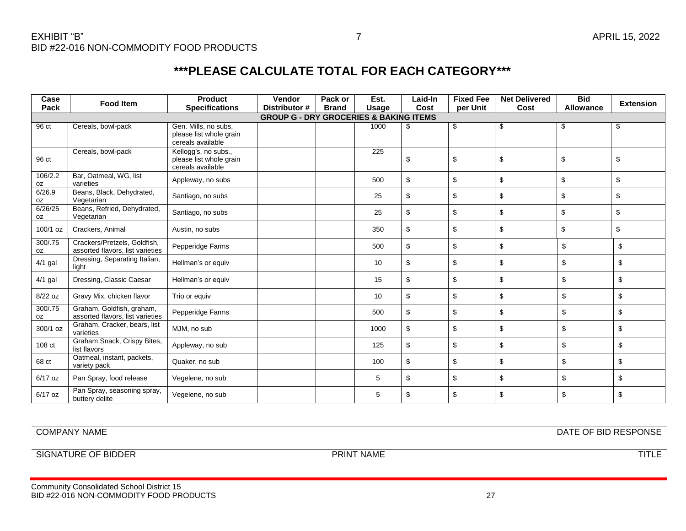| Case          | <b>Food Item</b>                                                 | <b>Product</b>                                                       | Vendor                                            | Pack or      | Est.  | Laid-In | <b>Fixed Fee</b> | <b>Net Delivered</b> | <b>Bid</b>       | <b>Extension</b> |
|---------------|------------------------------------------------------------------|----------------------------------------------------------------------|---------------------------------------------------|--------------|-------|---------|------------------|----------------------|------------------|------------------|
| Pack          |                                                                  | <b>Specifications</b>                                                | Distributor #                                     | <b>Brand</b> | Usage | Cost    | per Unit         | Cost                 | <b>Allowance</b> |                  |
|               |                                                                  |                                                                      | <b>GROUP G - DRY GROCERIES &amp; BAKING ITEMS</b> |              |       |         |                  |                      |                  |                  |
| 96 ct         | Cereals, bowl-pack                                               | Gen. Mills, no subs,<br>please list whole grain<br>cereals available |                                                   |              | 1000  | \$      | \$               | \$                   | \$               | \$               |
| 96 ct         | Cereals, bowl-pack                                               | Kellogg's, no subs.,<br>please list whole grain<br>cereals available |                                                   |              | 225   | \$      | \$               | \$                   | \$               | \$               |
| 106/2.2<br>0Z | Bar, Oatmeal, WG, list<br>varieties                              | Appleway, no subs                                                    |                                                   |              | 500   | \$      | \$               | \$                   | \$               | \$               |
| 6/26.9<br>0Z  | Beans, Black, Dehydrated,<br>Vegetarian                          | Santiago, no subs                                                    |                                                   |              | 25    | \$      | \$               | \$                   | \$               | \$               |
| 6/26/25<br>0Z | Beans, Refried, Dehydrated,<br>Vegetarian                        | Santiago, no subs                                                    |                                                   |              | 25    | \$      | \$               | \$                   | \$               | \$               |
| 100/1 oz      | Crackers, Animal                                                 | Austin, no subs                                                      |                                                   |              | 350   | \$      | \$               | \$                   | \$               | \$               |
| 300/.75<br>0Z | Crackers/Pretzels, Goldfish,<br>assorted flavors, list varieties | Pepperidge Farms                                                     |                                                   |              | 500   | \$      | \$               | \$                   | \$               | \$               |
| 4/1 gal       | Dressing, Separating Italian,<br>light                           | Hellman's or equiv                                                   |                                                   |              | 10    | \$      | \$               | \$                   | \$               | \$               |
| $4/1$ gal     | Dressing, Classic Caesar                                         | Hellman's or equiv                                                   |                                                   |              | 15    | \$      | \$               | \$                   | \$               | \$               |
| 8/22 oz       | Gravy Mix, chicken flavor                                        | Trio or equiv                                                        |                                                   |              | 10    | \$      | \$               | \$                   | \$               | \$               |
| 300/.75<br>OZ | Graham, Goldfish, graham,<br>assorted flavors, list varieties    | Pepperidge Farms                                                     |                                                   |              | 500   | \$      | \$               | \$                   | \$               | \$               |
| 300/1 oz      | Graham, Cracker, bears, list<br>varieties                        | MJM, no sub                                                          |                                                   |              | 1000  | \$      | \$               | \$                   | \$               | \$               |
| 108 ct        | Graham Snack, Crispy Bites,<br>list flavors                      | Appleway, no sub                                                     |                                                   |              | 125   | \$      | \$               | \$                   | \$               | \$               |
| 68 ct         | Oatmeal, instant, packets,<br>variety pack                       | Quaker, no sub                                                       |                                                   |              | 100   | \$      | \$               | \$                   | \$               | \$               |
| 6/17 oz       | Pan Spray, food release                                          | Vegelene, no sub                                                     |                                                   |              | 5     | \$      | \$               | \$                   | \$               | \$               |
| 6/17 oz       | Pan Spray, seasoning spray,<br>buttery delite                    | Vegelene, no sub                                                     |                                                   |              | 5     | \$      | \$               | \$                   | \$               | \$               |

COMPANY NAME DATE OF BID RESPONSE

SIGNATURE OF BIDDER TITLE PRINT NAME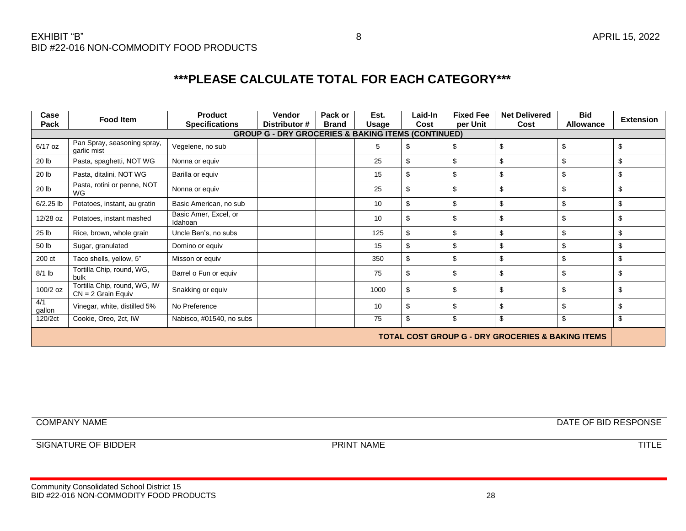| Case<br>Pack                                                  | <b>Food Item</b>                                     | <b>Product</b><br><b>Specifications</b> | <b>Vendor</b><br>Distributor # | Pack or<br><b>Brand</b> | Est.<br><b>Usage</b> | Laid-In<br>Cost | <b>Fixed Fee</b><br>per Unit | <b>Net Delivered</b><br>Cost | <b>Bid</b><br><b>Allowance</b> | <b>Extension</b> |  |  |
|---------------------------------------------------------------|------------------------------------------------------|-----------------------------------------|--------------------------------|-------------------------|----------------------|-----------------|------------------------------|------------------------------|--------------------------------|------------------|--|--|
| <b>GROUP G - DRY GROCERIES &amp; BAKING ITEMS (CONTINUED)</b> |                                                      |                                         |                                |                         |                      |                 |                              |                              |                                |                  |  |  |
| 6/17 oz                                                       | Pan Spray, seasoning spray,<br>garlic mist           | Vegelene, no sub                        |                                |                         | 5                    | \$              | \$                           | \$                           | \$                             | \$               |  |  |
| 20 lb                                                         | Pasta, spaghetti, NOT WG                             | Nonna or equiv                          |                                |                         | 25                   | \$              | \$                           | \$                           | \$                             | \$               |  |  |
| 20 lb                                                         | Pasta, ditalini, NOT WG                              | Barilla or equiv                        |                                |                         | 15                   | \$              | \$                           | \$                           | \$                             | \$               |  |  |
| 20 lb                                                         | Pasta, rotini or penne, NOT<br>WG                    | Nonna or equiv                          |                                |                         | 25                   | \$              | \$                           | \$                           | \$                             | \$               |  |  |
| $6/2.25$ lb                                                   | Potatoes, instant, au gratin                         | Basic American, no sub                  |                                |                         | 10                   | \$              | \$                           | \$                           | \$                             | \$               |  |  |
| 12/28 oz                                                      | Potatoes, instant mashed                             | Basic Amer, Excel, or<br>Idahoan        |                                |                         | 10                   | \$              | \$                           | \$                           | \$                             | \$               |  |  |
| 25 lb                                                         | Rice, brown, whole grain                             | Uncle Ben's, no subs                    |                                |                         | 125                  | \$              | \$                           | \$                           | \$                             | \$               |  |  |
| 50 lb                                                         | Sugar, granulated                                    | Domino or equiv                         |                                |                         | 15                   | \$              | \$                           | \$                           | \$                             | \$               |  |  |
| 200 ct                                                        | Taco shells, yellow, 5"                              | Misson or equiv                         |                                |                         | 350                  | \$              | \$                           | \$                           | \$                             | \$               |  |  |
| $8/1$ lb                                                      | Tortilla Chip, round, WG,<br>bulk                    | Barrel o Fun or equiv                   |                                |                         | 75                   | \$              | \$                           | \$                           | \$                             | \$               |  |  |
| 100/2 oz                                                      | Tortilla Chip, round, WG, IW<br>$CN = 2$ Grain Equiv | Snakking or equiv                       |                                |                         | 1000                 | \$              | \$                           | \$                           | \$                             | \$               |  |  |
| 4/1<br>gallon                                                 | Vinegar, white, distilled 5%                         | No Preference                           |                                |                         | 10                   | \$              | \$                           | \$                           | \$                             | \$               |  |  |
| 120/2ct                                                       | Cookie, Oreo, 2ct, IW                                | Nabisco, #01540, no subs                |                                |                         | 75                   | \$              | \$                           | \$                           | \$                             | \$               |  |  |
| <b>TOTAL COST GROUP G - DRY GROCERIES &amp; BAKING ITEMS</b>  |                                                      |                                         |                                |                         |                      |                 |                              |                              |                                |                  |  |  |

COMPANY NAME DATE OF BID RESPONSE

SIGNATURE OF BIDDER TITLE PRINT NAME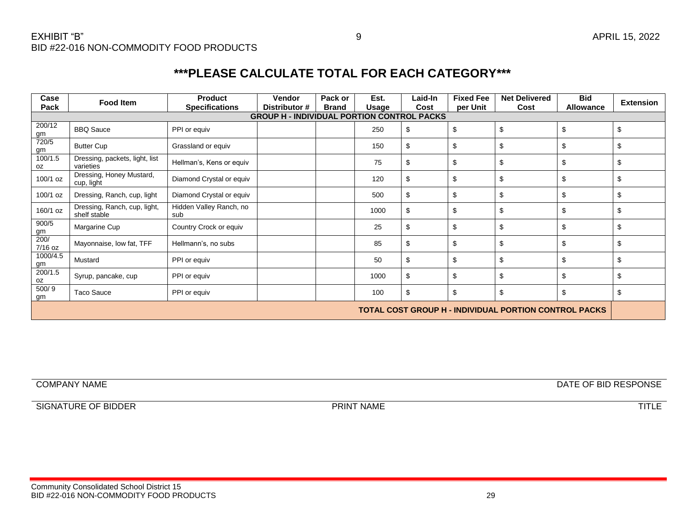| Case                                                         | <b>Food Item</b>                             | <b>Product</b>                 | <b>Vendor</b> | Pack or      | Est.  | Laid-In | <b>Fixed Fee</b> | <b>Net Delivered</b> | <b>Bid</b>       | <b>Extension</b> |  |
|--------------------------------------------------------------|----------------------------------------------|--------------------------------|---------------|--------------|-------|---------|------------------|----------------------|------------------|------------------|--|
| Pack                                                         |                                              | <b>Specifications</b>          | Distributor # | <b>Brand</b> | Usage | Cost    | per Unit         | Cost                 | <b>Allowance</b> |                  |  |
| <b>GROUP H - INDIVIDUAL PORTION CONTROL PACKS</b>            |                                              |                                |               |              |       |         |                  |                      |                  |                  |  |
| 200/12                                                       | <b>BBQ Sauce</b>                             | PPI or equiv                   |               |              | 250   | \$      | \$               | \$                   | \$               | \$               |  |
| $\frac{\text{gm}}{720/5}$<br>gm                              | <b>Butter Cup</b>                            | Grassland or equiv             |               |              | 150   | \$      | \$               | \$                   | \$               | \$               |  |
| 100/1.5<br>0Z                                                | Dressing, packets, light, list<br>varieties  | Hellman's, Kens or equiv       |               |              | 75    | \$      | \$               | \$                   | \$               | \$               |  |
| 100/1 oz                                                     | Dressing, Honey Mustard,<br>cup, light       | Diamond Crystal or equiv       |               |              | 120   | \$      | \$               | \$                   | \$               | \$               |  |
| 100/1 oz                                                     | Dressing, Ranch, cup, light                  | Diamond Crystal or equiv       |               |              | 500   | \$      | \$               | \$                   | \$               | \$               |  |
| 160/1 oz                                                     | Dressing, Ranch, cup, light,<br>shelf stable | Hidden Valley Ranch, no<br>sub |               |              | 1000  | \$      | \$               | \$                   | \$               | \$               |  |
| 900/5                                                        | Margarine Cup                                | Country Crock or equiv         |               |              | 25    | \$      | \$               | \$                   | \$               | \$               |  |
| $\frac{\text{gm}}{200/}$<br>7/16 oz                          | Mayonnaise, low fat, TFF                     | Hellmann's, no subs            |               |              | 85    | \$      | \$               | \$                   | \$               | \$               |  |
| 1000/4.5<br>$\frac{gm}{200/1.5}$                             | Mustard                                      | PPI or equiv                   |               |              | 50    | \$      | \$               | \$                   | \$               | \$               |  |
| OZ                                                           | Syrup, pancake, cup                          | PPI or equiv                   |               |              | 1000  | \$      | \$               | \$                   | \$               | \$               |  |
| 500/9<br>gm                                                  | Taco Sauce                                   | PPI or equiv                   |               |              | 100   | \$      | \$               | \$                   | \$               | \$               |  |
| <b>TOTAL COST GROUP H - INDIVIDUAL PORTION CONTROL PACKS</b> |                                              |                                |               |              |       |         |                  |                      |                  |                  |  |

COMPANY NAME DATE OF BID RESPONSE

SIGNATURE OF BIDDER TITLE PRINT NAME

Community Consolidated School District 15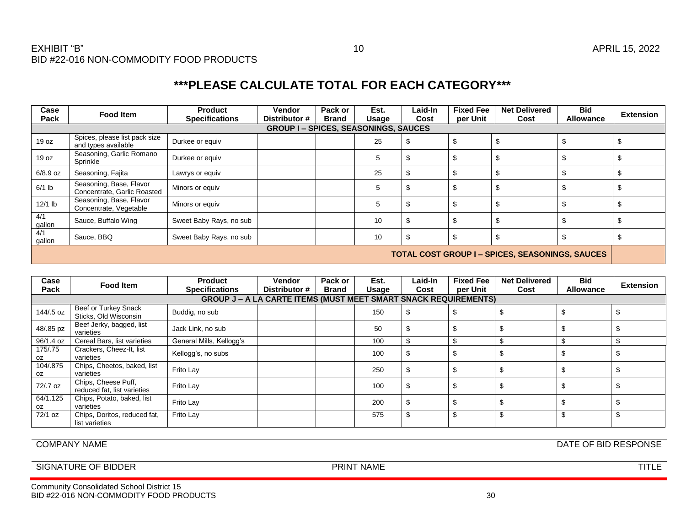| Case<br>Pack                                           | Food Item                                              | <b>Product</b><br><b>Specifications</b> | <b>Vendor</b><br>Distributor # | Pack or<br><b>Brand</b> | Est.<br>Usage | Laid-In<br>Cost | <b>Fixed Fee</b><br>per Unit | <b>Net Delivered</b><br>Cost | <b>Bid</b><br><b>Allowance</b> | <b>Extension</b> |  |  |
|--------------------------------------------------------|--------------------------------------------------------|-----------------------------------------|--------------------------------|-------------------------|---------------|-----------------|------------------------------|------------------------------|--------------------------------|------------------|--|--|
|                                                        | <b>GROUP I-SPICES, SEASONINGS, SAUCES</b>              |                                         |                                |                         |               |                 |                              |                              |                                |                  |  |  |
| 19 oz                                                  | Spices, please list pack size<br>and types available   | Durkee or equiv                         |                                |                         | 25            | Φ               |                              |                              |                                |                  |  |  |
| 19 oz                                                  | Seasoning, Garlic Romano<br>Sprinkle                   | Durkee or equiv                         |                                |                         | 5             | \$              |                              |                              |                                |                  |  |  |
| 6/8.9 oz                                               | Seasoning, Fajita                                      | Lawrys or equiv                         |                                |                         | 25            |                 |                              |                              |                                |                  |  |  |
| $6/1$ lb                                               | Seasoning, Base, Flavor<br>Concentrate, Garlic Roasted | Minors or equiv                         |                                |                         | 5             | \$              |                              |                              |                                |                  |  |  |
| $12/1$ lb                                              | Seasoning, Base, Flavor<br>Concentrate, Vegetable      | Minors or equiv                         |                                |                         | 5             | \$              |                              |                              |                                |                  |  |  |
| 4/1<br>$\frac{gallon}{4/1}$                            | Sauce, Buffalo Wing                                    | Sweet Baby Rays, no sub                 |                                |                         | 10            | \$              |                              |                              |                                |                  |  |  |
| gallon                                                 | Sauce, BBQ                                             | Sweet Baby Rays, no sub                 |                                |                         | 10            | \$              |                              |                              |                                |                  |  |  |
| <b>TOTAL COST GROUP I - SPICES, SEASONINGS, SAUCES</b> |                                                        |                                         |                                |                         |               |                 |                              |                              |                                |                  |  |  |

| Case<br>Pack                                                           | <b>Food Item</b>                                   | <b>Product</b><br><b>Specifications</b> | Vendor<br>Distributor # | Pack or<br><b>Brand</b> | Est.<br>Usage | Laid-In<br>Cost | <b>Fixed Fee</b><br>per Unit | <b>Net Delivered</b><br>Cost | <b>Bid</b><br><b>Allowance</b> | <b>Extension</b> |  |
|------------------------------------------------------------------------|----------------------------------------------------|-----------------------------------------|-------------------------|-------------------------|---------------|-----------------|------------------------------|------------------------------|--------------------------------|------------------|--|
| <b>GROUP J - A LA CARTE ITEMS (MUST MEET SMART SNACK REQUIREMENTS)</b> |                                                    |                                         |                         |                         |               |                 |                              |                              |                                |                  |  |
| 144/.5 oz                                                              | Beef or Turkey Snack<br>Sticks, Old Wisconsin      | Buddig, no sub                          |                         |                         | 150           |                 |                              |                              |                                |                  |  |
| 48/.85 pz                                                              | Beef Jerky, bagged, list<br>varieties              | Jack Link, no sub                       |                         |                         | 50            |                 |                              |                              |                                |                  |  |
| 96/1.4 oz                                                              | Cereal Bars, list varieties                        | General Mills, Kellogg's                |                         |                         | 100           |                 | \$                           | ę.                           |                                | S.               |  |
| 175/.75<br>OZ.                                                         | Crackers, Cheez-It, list<br>varieties              | Kellogg's, no subs                      |                         |                         | 100           |                 | Œ                            | \$                           |                                |                  |  |
| 104/.875<br>OZ.                                                        | Chips, Cheetos, baked, list<br>varieties           | Frito Lay                               |                         |                         | 250           |                 |                              |                              |                                |                  |  |
| 72/.7 oz                                                               | Chips, Cheese Puff,<br>reduced fat, list varieties | Frito Lay                               |                         |                         | 100           |                 |                              |                              |                                |                  |  |
| 64/1.125<br>OZ.                                                        | Chips, Potato, baked, list<br>varieties            | Frito Lay                               |                         |                         | 200           |                 | Œ                            |                              |                                |                  |  |
| 72/1 oz                                                                | Chips, Doritos, reduced fat,<br>list varieties     | Frito Lay                               |                         |                         | 575           |                 | \$                           | \$                           |                                | S.               |  |

### COMPANY NAME DATE OF BID RESPONSE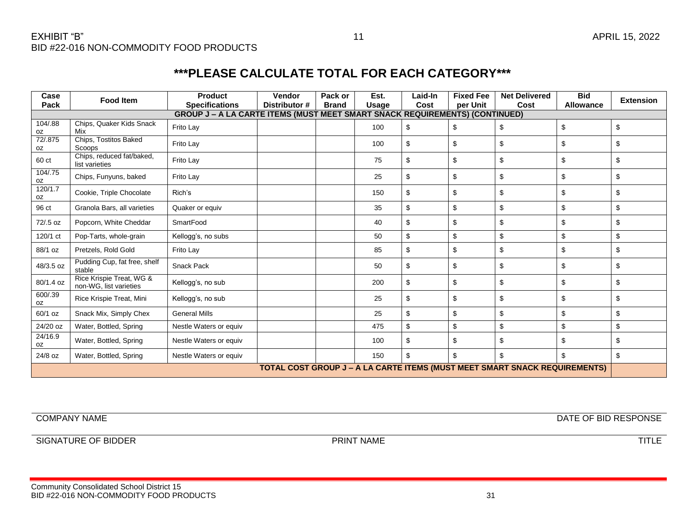| Case<br>Pack                                                                      | <b>Food Item</b>                                   | <b>Product</b><br><b>Specifications</b>                                            | Vendor<br>Distributor # | Pack or<br><b>Brand</b> | Est.<br>Usage | Laid-In<br>Cost | <b>Fixed Fee</b><br>per Unit | <b>Net Delivered</b><br>Cost | <b>Bid</b><br>Allowance | <b>Extension</b> |
|-----------------------------------------------------------------------------------|----------------------------------------------------|------------------------------------------------------------------------------------|-------------------------|-------------------------|---------------|-----------------|------------------------------|------------------------------|-------------------------|------------------|
|                                                                                   |                                                    | <b>GROUP J – A LA CARTE ITEMS (MUST MEET SMART SNACK REQUIREMENTS) (CONTINUED)</b> |                         |                         |               |                 |                              |                              |                         |                  |
| 104/.88<br>0Z                                                                     | Chips, Quaker Kids Snack<br>Mix                    | Frito Lay                                                                          |                         |                         | 100           | \$              | \$                           | \$                           | \$                      | \$               |
| 72/.875<br>oz                                                                     | Chips, Tostitos Baked<br>Scoops                    | Frito Lay                                                                          |                         |                         | 100           | \$              | \$                           | \$                           | \$                      | \$               |
| 60 ct                                                                             | Chips, reduced fat/baked,<br>list varieties        | Frito Lay                                                                          |                         |                         | 75            | \$              | \$                           | \$                           | \$                      | \$               |
| 104/.75<br>0Z                                                                     | Chips, Funyuns, baked                              | Frito Lay                                                                          |                         |                         | 25            | \$              | \$                           | \$                           | \$                      | \$               |
| 120/1.7<br>oz                                                                     | Cookie, Triple Chocolate                           | Rich's                                                                             |                         |                         | 150           | \$              | \$                           | \$                           | \$                      | \$               |
| 96 ct                                                                             | Granola Bars, all varieties                        | Quaker or equiv                                                                    |                         |                         | 35            | \$              | \$                           | \$                           | \$                      | \$               |
| 72/.5 oz                                                                          | Popcorn, White Cheddar                             | SmartFood                                                                          |                         |                         | 40            | \$              | \$                           | \$                           | \$                      | \$               |
| 120/1 ct                                                                          | Pop-Tarts, whole-grain                             | Kellogg's, no subs                                                                 |                         |                         | 50            | \$              | \$                           | \$                           | \$                      | \$               |
| 88/1 oz                                                                           | Pretzels, Rold Gold                                | Frito Lay                                                                          |                         |                         | 85            | \$              | \$                           | \$                           | \$                      | \$               |
| 48/3.5 oz                                                                         | Pudding Cup, fat free, shelf<br>stable             | Snack Pack                                                                         |                         |                         | 50            | \$              | \$                           | \$                           | \$                      | \$               |
| 80/1.4 oz                                                                         | Rice Krispie Treat, WG &<br>non-WG, list varieties | Kellogg's, no sub                                                                  |                         |                         | 200           | \$              | \$                           | \$                           | \$                      | \$               |
| 600/.39<br>0Z                                                                     | Rice Krispie Treat, Mini                           | Kellogg's, no sub                                                                  |                         |                         | 25            | \$              | \$                           | \$                           | \$                      | \$               |
| 60/1 oz                                                                           | Snack Mix, Simply Chex                             | <b>General Mills</b>                                                               |                         |                         | 25            | \$              | \$                           | \$                           | \$                      | \$               |
| 24/20 oz                                                                          | Water, Bottled, Spring                             | Nestle Waters or equiv                                                             |                         |                         | 475           | \$              | \$                           | \$                           | \$                      | \$               |
| 24/16.9<br>0Z                                                                     | Water, Bottled, Spring                             | Nestle Waters or equiv                                                             |                         |                         | 100           | \$              | \$                           | \$                           | \$                      | \$               |
| 24/8 oz                                                                           | Water, Bottled, Spring                             | Nestle Waters or equiv                                                             |                         |                         | 150           | \$              | \$                           | \$                           | \$                      | \$               |
| <b>TOTAL COST GROUP J – A LA CARTE ITEMS (MUST MEET SMART SNACK REQUIREMENTS)</b> |                                                    |                                                                                    |                         |                         |               |                 |                              |                              |                         |                  |

COMPANY NAME DATE OF BID RESPONSE

SIGNATURE OF BIDDER TITLE PRINT NAME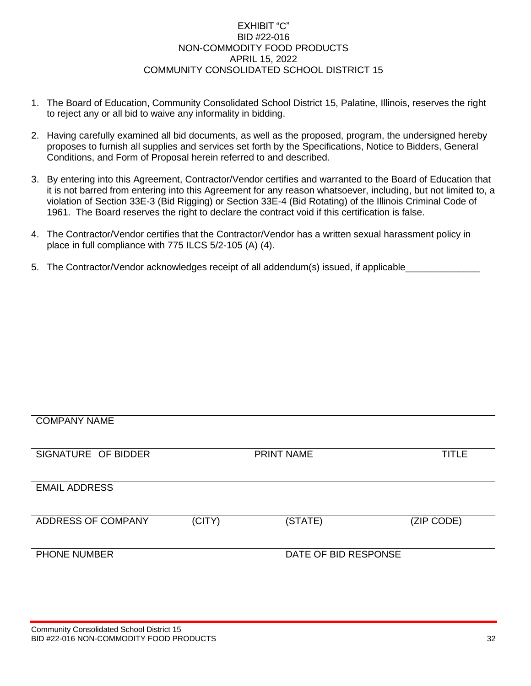#### EXHIBIT "C" BID #22-016 NON-COMMODITY FOOD PRODUCTS APRIL 15, 2022 COMMUNITY CONSOLIDATED SCHOOL DISTRICT 15

- 1. The Board of Education, Community Consolidated School District 15, Palatine, Illinois, reserves the right to reject any or all bid to waive any informality in bidding.
- 2. Having carefully examined all bid documents, as well as the proposed, program, the undersigned hereby proposes to furnish all supplies and services set forth by the Specifications, Notice to Bidders, General Conditions, and Form of Proposal herein referred to and described.
- 3. By entering into this Agreement, Contractor/Vendor certifies and warranted to the Board of Education that it is not barred from entering into this Agreement for any reason whatsoever, including, but not limited to, a violation of Section 33E-3 (Bid Rigging) or Section 33E-4 (Bid Rotating) of the Illinois Criminal Code of 1961. The Board reserves the right to declare the contract void if this certification is false.
- 4. The Contractor/Vendor certifies that the Contractor/Vendor has a written sexual harassment policy in place in full compliance with 775 ILCS 5/2-105 (A) (4).
- 5. The Contractor/Vendor acknowledges receipt of all addendum(s) issued, if applicable

# COMPANY NAME SIGNATURE OF BIDDER PRINT NAME TITLE EMAIL ADDRESS ADDRESS OF COMPANY (CITY) (STATE) (ZIP CODE) PHONE NUMBER DATE OF BID RESPONSE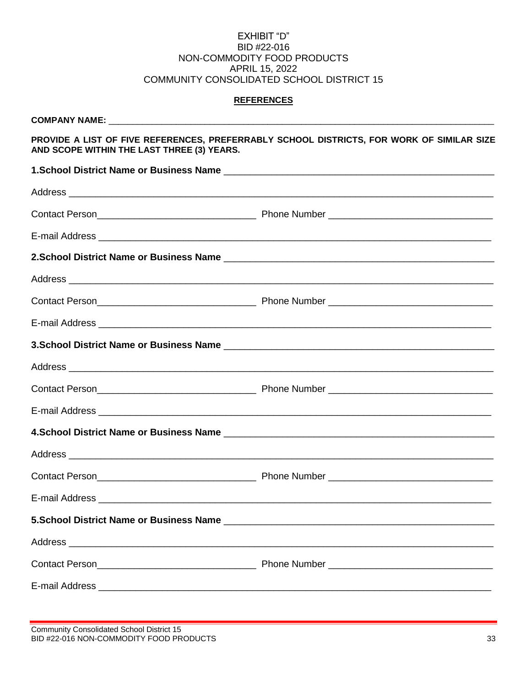#### EXHIBIT "D" BID #22-016 NON-COMMODITY FOOD PRODUCTS APRIL 15, 2022 COMMUNITY CONSOLIDATED SCHOOL DISTRICT 15

#### **REFERENCES**

| AND SCOPE WITHIN THE LAST THREE (3) YEARS. | PROVIDE A LIST OF FIVE REFERENCES, PREFERRABLY SCHOOL DISTRICTS, FOR WORK OF SIMILAR SIZE |
|--------------------------------------------|-------------------------------------------------------------------------------------------|
|                                            |                                                                                           |
|                                            |                                                                                           |
|                                            |                                                                                           |
|                                            |                                                                                           |
|                                            |                                                                                           |
|                                            |                                                                                           |
|                                            |                                                                                           |
|                                            |                                                                                           |
|                                            |                                                                                           |
|                                            |                                                                                           |
|                                            |                                                                                           |
|                                            |                                                                                           |
|                                            |                                                                                           |
|                                            |                                                                                           |
|                                            |                                                                                           |
| E-mail Address                             |                                                                                           |
|                                            |                                                                                           |
|                                            |                                                                                           |
|                                            |                                                                                           |
|                                            |                                                                                           |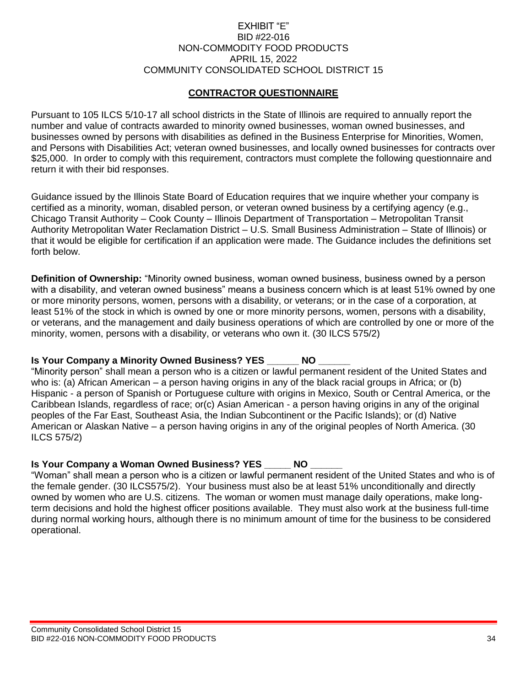#### EXHIBIT "E" BID #22-016 NON-COMMODITY FOOD PRODUCTS APRIL 15, 2022 COMMUNITY CONSOLIDATED SCHOOL DISTRICT 15

### **CONTRACTOR QUESTIONNAIRE**

Pursuant to 105 ILCS 5/10-17 all school districts in the State of Illinois are required to annually report the number and value of contracts awarded to minority owned businesses, woman owned businesses, and businesses owned by persons with disabilities as defined in the Business Enterprise for Minorities, Women, and Persons with Disabilities Act; veteran owned businesses, and locally owned businesses for contracts over \$25,000. In order to comply with this requirement, contractors must complete the following questionnaire and return it with their bid responses.

Guidance issued by the Illinois State Board of Education requires that we inquire whether your company is certified as a minority, woman, disabled person, or veteran owned business by a certifying agency (e.g., Chicago Transit Authority – Cook County – Illinois Department of Transportation – Metropolitan Transit Authority Metropolitan Water Reclamation District – U.S. Small Business Administration – State of Illinois) or that it would be eligible for certification if an application were made. The Guidance includes the definitions set forth below.

**Definition of Ownership:** "Minority owned business, woman owned business, business owned by a person with a disability, and veteran owned business" means a business concern which is at least 51% owned by one or more minority persons, women, persons with a disability, or veterans; or in the case of a corporation, at least 51% of the stock in which is owned by one or more minority persons, women, persons with a disability, or veterans, and the management and daily business operations of which are controlled by one or more of the minority, women, persons with a disability, or veterans who own it. (30 ILCS 575/2)

#### **Is Your Company a Minority Owned Business? YES \_\_\_\_\_\_ NO \_\_\_\_\_\_**

"Minority person" shall mean a person who is a citizen or lawful permanent resident of the United States and who is: (a) African American – a person having origins in any of the black racial groups in Africa; or (b) Hispanic - a person of Spanish or Portuguese culture with origins in Mexico, South or Central America, or the Caribbean Islands, regardless of race; or(c) Asian American - a person having origins in any of the original peoples of the Far East, Southeast Asia, the Indian Subcontinent or the Pacific Islands); or (d) Native American or Alaskan Native – a person having origins in any of the original peoples of North America. (30 ILCS 575/2)

#### **Is Your Company a Woman Owned Business? YES \_\_\_\_\_ NO \_\_\_\_\_\_**

"Woman" shall mean a person who is a citizen or lawful permanent resident of the United States and who is of the female gender. (30 ILCS575/2). Your business must also be at least 51% unconditionally and directly owned by women who are U.S. citizens. The woman or women must manage daily operations, make longterm decisions and hold the highest officer positions available. They must also work at the business full-time during normal working hours, although there is no minimum amount of time for the business to be considered operational.